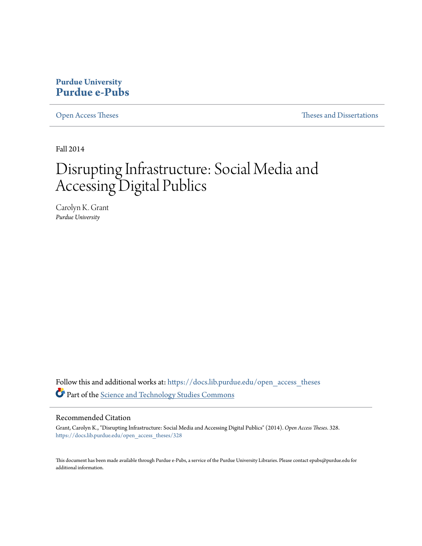### **Purdue University [Purdue e-Pubs](https://docs.lib.purdue.edu?utm_source=docs.lib.purdue.edu%2Fopen_access_theses%2F328&utm_medium=PDF&utm_campaign=PDFCoverPages)**

[Open Access Theses](https://docs.lib.purdue.edu/open_access_theses?utm_source=docs.lib.purdue.edu%2Fopen_access_theses%2F328&utm_medium=PDF&utm_campaign=PDFCoverPages) **Theses** and Dissertations **Theses** and Dissertations

Fall 2014

# Disrupting Infrastructure: Social Media and Accessing Digital Publics

Carolyn K. Grant *Purdue University*

Follow this and additional works at: [https://docs.lib.purdue.edu/open\\_access\\_theses](https://docs.lib.purdue.edu/open_access_theses?utm_source=docs.lib.purdue.edu%2Fopen_access_theses%2F328&utm_medium=PDF&utm_campaign=PDFCoverPages) Part of the [Science and Technology Studies Commons](http://network.bepress.com/hgg/discipline/435?utm_source=docs.lib.purdue.edu%2Fopen_access_theses%2F328&utm_medium=PDF&utm_campaign=PDFCoverPages)

#### Recommended Citation

Grant, Carolyn K., "Disrupting Infrastructure: Social Media and Accessing Digital Publics" (2014). *Open Access Theses*. 328. [https://docs.lib.purdue.edu/open\\_access\\_theses/328](https://docs.lib.purdue.edu/open_access_theses/328?utm_source=docs.lib.purdue.edu%2Fopen_access_theses%2F328&utm_medium=PDF&utm_campaign=PDFCoverPages)

This document has been made available through Purdue e-Pubs, a service of the Purdue University Libraries. Please contact epubs@purdue.edu for additional information.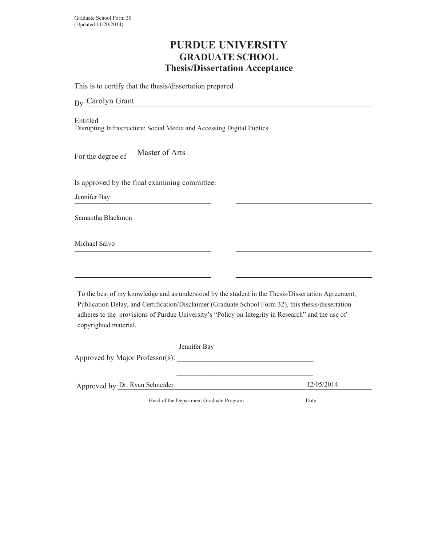## **PURDUE UNIVERSITY GRADUATE SCHOOL Thesis/Dissertation Acceptance**

This is to certify that the thesis/dissertation prepared

By Carolyn Grant

Entitled Disrupting Infrastructure: Social Media and Accessing Digital Publics

For the degree of \_ Master of Arts

Is approved by the final examining committee:

Jennifer Bay

Samantha Blackmon

Michael Salvo

To the best of my knowledge and as understood by the student in the Thesis/Dissertation Agreement, Publication Delay, and Certification/Disclaimer (Graduate School Form 32), this thesis/dissertation adheres to the provisions of Purdue University's "Policy on Integrity in Research" and the use of copyrighted material.

| Jennifer Bay                    |            |
|---------------------------------|------------|
| Approved by Major Professor(s): |            |
|                                 |            |
| Approved by: Dr. Ryan Schneider | 12/05/2014 |

+Head of the Department Graduate Program Date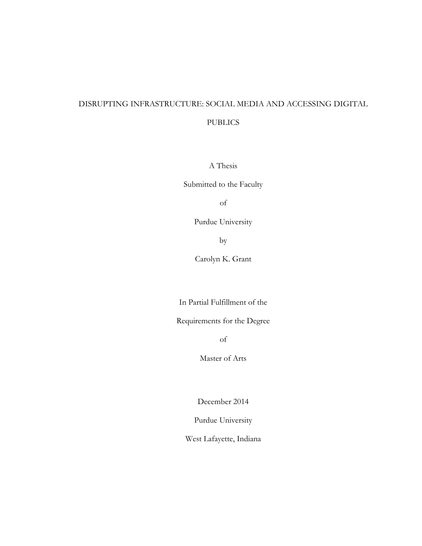# DISRUPTING INFRASTRUCTURE: SOCIAL MEDIA AND ACCESSING DIGITAL

#### PUBLICS

A Thesis

Submitted to the Faculty

of

Purdue University

by

Carolyn K. Grant

In Partial Fulfillment of the

Requirements for the Degree

of

Master of Arts

December 2014

Purdue University

West Lafayette, Indiana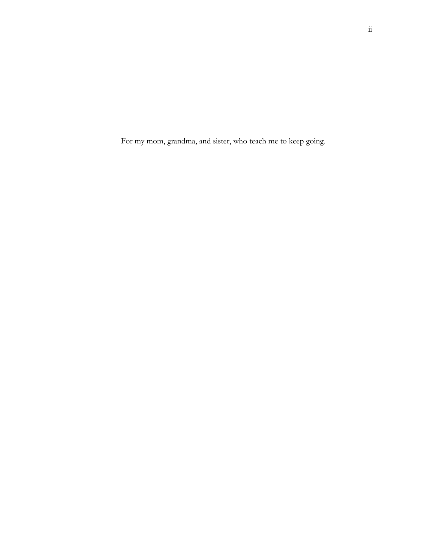For my mom, grandma, and sister, who teach me to keep going.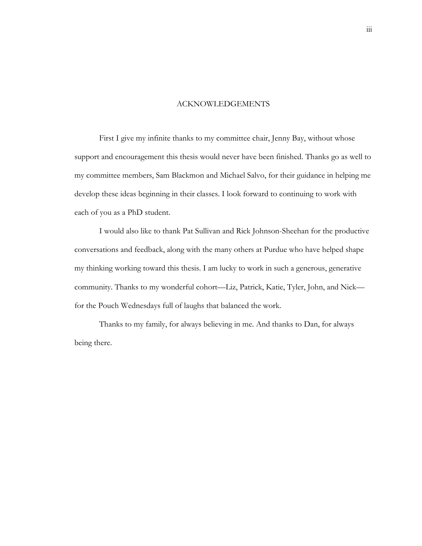#### ACKNOWLEDGEMENTS

First I give my infinite thanks to my committee chair, Jenny Bay, without whose support and encouragement this thesis would never have been finished. Thanks go as well to my committee members, Sam Blackmon and Michael Salvo, for their guidance in helping me develop these ideas beginning in their classes. I look forward to continuing to work with each of you as a PhD student.

I would also like to thank Pat Sullivan and Rick Johnson-Sheehan for the productive conversations and feedback, along with the many others at Purdue who have helped shape my thinking working toward this thesis. I am lucky to work in such a generous, generative community. Thanks to my wonderful cohort—Liz, Patrick, Katie, Tyler, John, and Nick for the Pouch Wednesdays full of laughs that balanced the work.

 Thanks to my family, for always believing in me. And thanks to Dan, for always being there.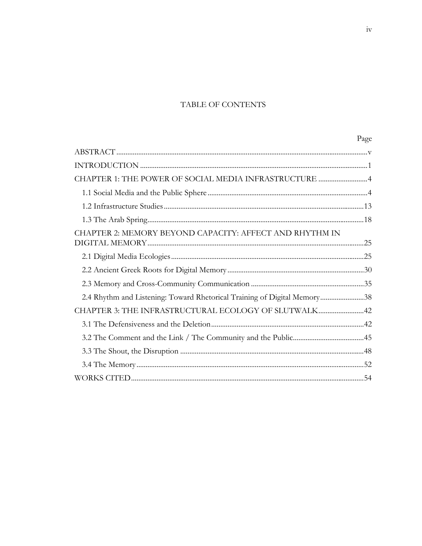### TABLE OF CONTENTS

|                                                                          | Page |
|--------------------------------------------------------------------------|------|
|                                                                          |      |
|                                                                          |      |
| CHAPTER 1: THE POWER OF SOCIAL MEDIA INFRASTRUCTURE 4                    |      |
|                                                                          |      |
|                                                                          |      |
|                                                                          |      |
| CHAPTER 2: MEMORY BEYOND CAPACITY: AFFECT AND RHYTHM IN                  |      |
|                                                                          |      |
|                                                                          |      |
|                                                                          |      |
| 2.4 Rhythm and Listening: Toward Rhetorical Training of Digital Memory38 |      |
| CHAPTER 3: THE INFRASTRUCTURAL ECOLOGY OF SLUTWALK42                     |      |
|                                                                          |      |
|                                                                          |      |
|                                                                          |      |
|                                                                          |      |
|                                                                          |      |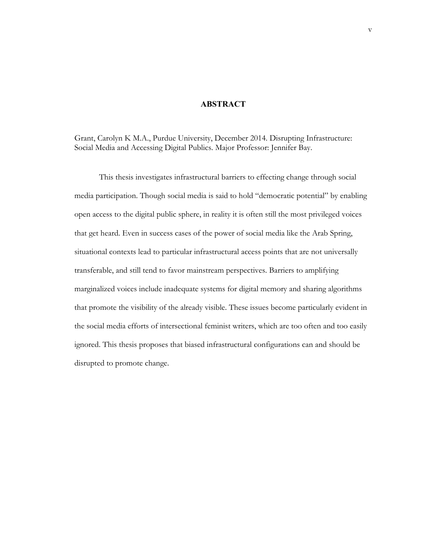#### **ABSTRACT**

Grant, Carolyn K M.A., Purdue University, December 2014. Disrupting Infrastructure: Social Media and Accessing Digital Publics. Major Professor: Jennifer Bay.

This thesis investigates infrastructural barriers to effecting change through social media participation. Though social media is said to hold "democratic potential" by enabling open access to the digital public sphere, in reality it is often still the most privileged voices that get heard. Even in success cases of the power of social media like the Arab Spring, situational contexts lead to particular infrastructural access points that are not universally transferable, and still tend to favor mainstream perspectives. Barriers to amplifying marginalized voices include inadequate systems for digital memory and sharing algorithms that promote the visibility of the already visible. These issues become particularly evident in the social media efforts of intersectional feminist writers, which are too often and too easily ignored. This thesis proposes that biased infrastructural configurations can and should be disrupted to promote change.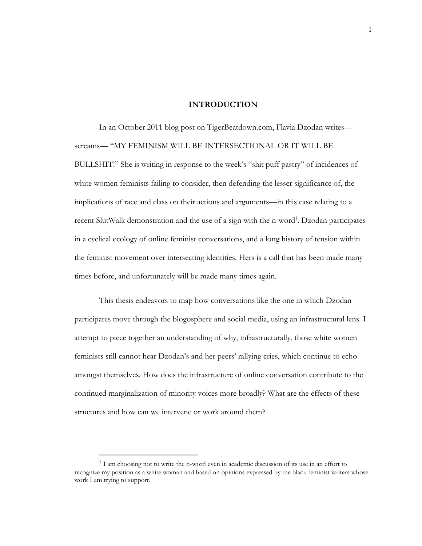#### **INTRODUCTION**

In an October 2011 blog post on TigerBeatdown.com, Flavia Dzodan writes screams— "MY FEMINISM WILL BE INTERSECTIONAL OR IT WILL BE BULLSHIT!" She is writing in response to the week's "shit puff pastry" of incidences of white women feminists failing to consider, then defending the lesser significance of, the implications of race and class on their actions and arguments—in this case relating to a recent SlutWalk demonstration and the use of a sign with the n-word<sup>1</sup>. Dzodan participates in a cyclical ecology of online feminist conversations, and a long history of tension within the feminist movement over intersecting identities. Hers is a call that has been made many times before, and unfortunately will be made many times again.

This thesis endeavors to map how conversations like the one in which Dzodan participates move through the blogosphere and social media, using an infrastructural lens. I attempt to piece together an understanding of why, infrastructurally, those white women feminists still cannot hear Dzodan's and her peers' rallying cries, which continue to echo amongst themselves. How does the infrastructure of online conversation contribute to the continued marginalization of minority voices more broadly? What are the effects of these structures and how can we intervene or work around them?

 $\overline{a}$ 

 $1$  I am choosing not to write the n-word even in academic discussion of its use in an effort to recognize my position as a white woman and based on opinions expressed by the black feminist writers whose work I am trying to support.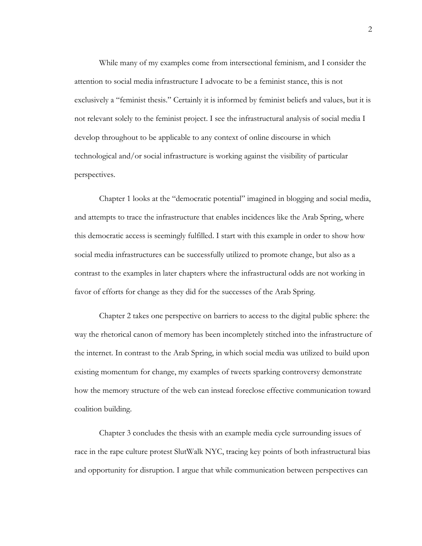While many of my examples come from intersectional feminism, and I consider the attention to social media infrastructure I advocate to be a feminist stance, this is not exclusively a "feminist thesis." Certainly it is informed by feminist beliefs and values, but it is not relevant solely to the feminist project. I see the infrastructural analysis of social media I develop throughout to be applicable to any context of online discourse in which technological and/or social infrastructure is working against the visibility of particular perspectives.

Chapter 1 looks at the "democratic potential" imagined in blogging and social media, and attempts to trace the infrastructure that enables incidences like the Arab Spring, where this democratic access is seemingly fulfilled. I start with this example in order to show how social media infrastructures can be successfully utilized to promote change, but also as a contrast to the examples in later chapters where the infrastructural odds are not working in favor of efforts for change as they did for the successes of the Arab Spring.

Chapter 2 takes one perspective on barriers to access to the digital public sphere: the way the rhetorical canon of memory has been incompletely stitched into the infrastructure of the internet. In contrast to the Arab Spring, in which social media was utilized to build upon existing momentum for change, my examples of tweets sparking controversy demonstrate how the memory structure of the web can instead foreclose effective communication toward coalition building.

Chapter 3 concludes the thesis with an example media cycle surrounding issues of race in the rape culture protest SlutWalk NYC, tracing key points of both infrastructural bias and opportunity for disruption. I argue that while communication between perspectives can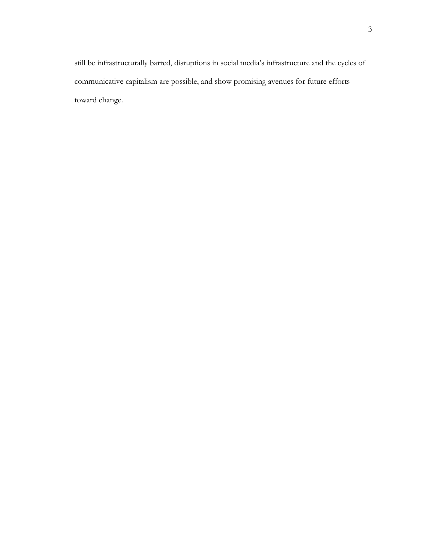still be infrastructurally barred, disruptions in social media's infrastructure and the cycles of communicative capitalism are possible, and show promising avenues for future efforts toward change.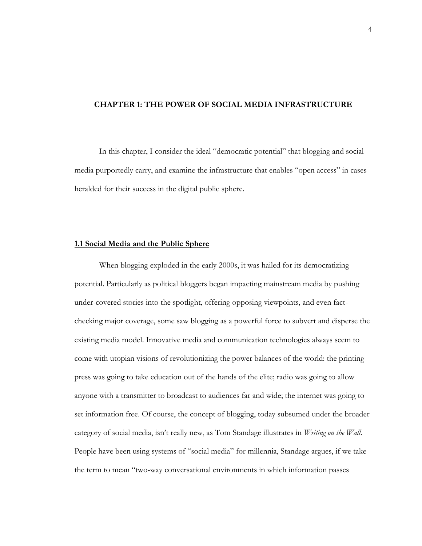#### **CHAPTER 1: THE POWER OF SOCIAL MEDIA INFRASTRUCTURE**

In this chapter, I consider the ideal "democratic potential" that blogging and social media purportedly carry, and examine the infrastructure that enables "open access" in cases heralded for their success in the digital public sphere.

#### **1.1 Social Media and the Public Sphere**

When blogging exploded in the early 2000s, it was hailed for its democratizing potential. Particularly as political bloggers began impacting mainstream media by pushing under-covered stories into the spotlight, offering opposing viewpoints, and even factchecking major coverage, some saw blogging as a powerful force to subvert and disperse the existing media model. Innovative media and communication technologies always seem to come with utopian visions of revolutionizing the power balances of the world: the printing press was going to take education out of the hands of the elite; radio was going to allow anyone with a transmitter to broadcast to audiences far and wide; the internet was going to set information free. Of course, the concept of blogging, today subsumed under the broader category of social media, isn't really new, as Tom Standage illustrates in *Writing on the Wall*. People have been using systems of "social media" for millennia, Standage argues, if we take the term to mean "two-way conversational environments in which information passes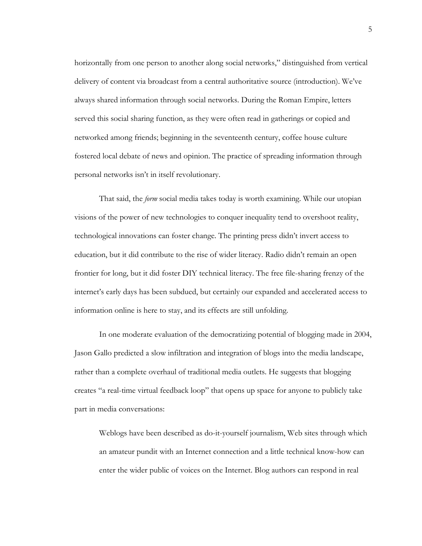horizontally from one person to another along social networks," distinguished from vertical delivery of content via broadcast from a central authoritative source (introduction). We've always shared information through social networks. During the Roman Empire, letters served this social sharing function, as they were often read in gatherings or copied and networked among friends; beginning in the seventeenth century, coffee house culture fostered local debate of news and opinion. The practice of spreading information through personal networks isn't in itself revolutionary.

That said, the *form* social media takes today is worth examining. While our utopian visions of the power of new technologies to conquer inequality tend to overshoot reality, technological innovations can foster change. The printing press didn't invert access to education, but it did contribute to the rise of wider literacy. Radio didn't remain an open frontier for long, but it did foster DIY technical literacy. The free file-sharing frenzy of the internet's early days has been subdued, but certainly our expanded and accelerated access to information online is here to stay, and its effects are still unfolding.

In one moderate evaluation of the democratizing potential of blogging made in 2004, Jason Gallo predicted a slow infiltration and integration of blogs into the media landscape, rather than a complete overhaul of traditional media outlets. He suggests that blogging creates "a real-time virtual feedback loop" that opens up space for anyone to publicly take part in media conversations:

Weblogs have been described as do-it-yourself journalism, Web sites through which an amateur pundit with an Internet connection and a little technical know-how can enter the wider public of voices on the Internet. Blog authors can respond in real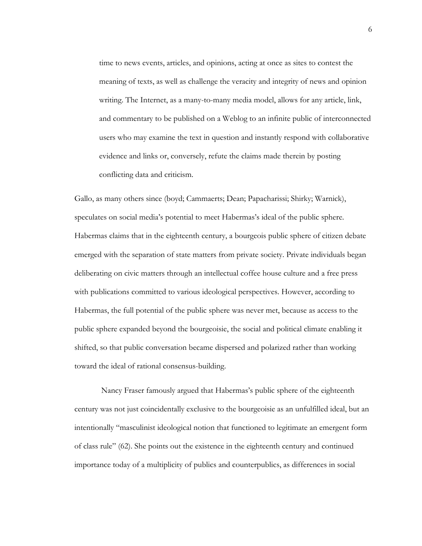time to news events, articles, and opinions, acting at once as sites to contest the meaning of texts, as well as challenge the veracity and integrity of news and opinion writing. The Internet, as a many-to-many media model, allows for any article, link, and commentary to be published on a Weblog to an infinite public of interconnected users who may examine the text in question and instantly respond with collaborative evidence and links or, conversely, refute the claims made therein by posting conflicting data and criticism.

Gallo, as many others since (boyd; Cammaerts; Dean; Papacharissi; Shirky; Warnick), speculates on social media's potential to meet Habermas's ideal of the public sphere. Habermas claims that in the eighteenth century, a bourgeois public sphere of citizen debate emerged with the separation of state matters from private society. Private individuals began deliberating on civic matters through an intellectual coffee house culture and a free press with publications committed to various ideological perspectives. However, according to Habermas, the full potential of the public sphere was never met, because as access to the public sphere expanded beyond the bourgeoisie, the social and political climate enabling it shifted, so that public conversation became dispersed and polarized rather than working toward the ideal of rational consensus-building.

 Nancy Fraser famously argued that Habermas's public sphere of the eighteenth century was not just coincidentally exclusive to the bourgeoisie as an unfulfilled ideal, but an intentionally "masculinist ideological notion that functioned to legitimate an emergent form of class rule" (62). She points out the existence in the eighteenth century and continued importance today of a multiplicity of publics and counterpublics, as differences in social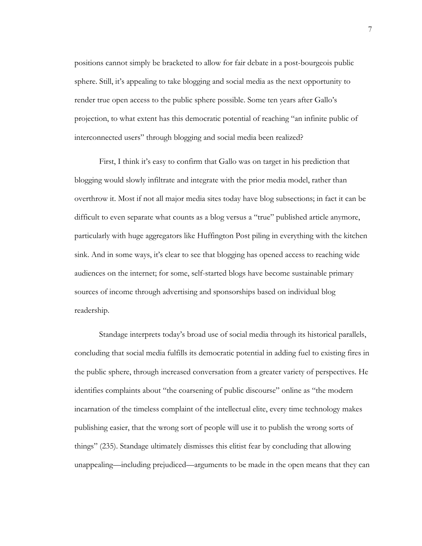positions cannot simply be bracketed to allow for fair debate in a post-bourgeois public sphere. Still, it's appealing to take blogging and social media as the next opportunity to render true open access to the public sphere possible. Some ten years after Gallo's projection, to what extent has this democratic potential of reaching "an infinite public of interconnected users" through blogging and social media been realized?

First, I think it's easy to confirm that Gallo was on target in his prediction that blogging would slowly infiltrate and integrate with the prior media model, rather than overthrow it. Most if not all major media sites today have blog subsections; in fact it can be difficult to even separate what counts as a blog versus a "true" published article anymore, particularly with huge aggregators like Huffington Post piling in everything with the kitchen sink. And in some ways, it's clear to see that blogging has opened access to reaching wide audiences on the internet; for some, self-started blogs have become sustainable primary sources of income through advertising and sponsorships based on individual blog readership.

Standage interprets today's broad use of social media through its historical parallels, concluding that social media fulfills its democratic potential in adding fuel to existing fires in the public sphere, through increased conversation from a greater variety of perspectives. He identifies complaints about "the coarsening of public discourse" online as "the modern incarnation of the timeless complaint of the intellectual elite, every time technology makes publishing easier, that the wrong sort of people will use it to publish the wrong sorts of things" (235). Standage ultimately dismisses this elitist fear by concluding that allowing unappealing—including prejudiced—arguments to be made in the open means that they can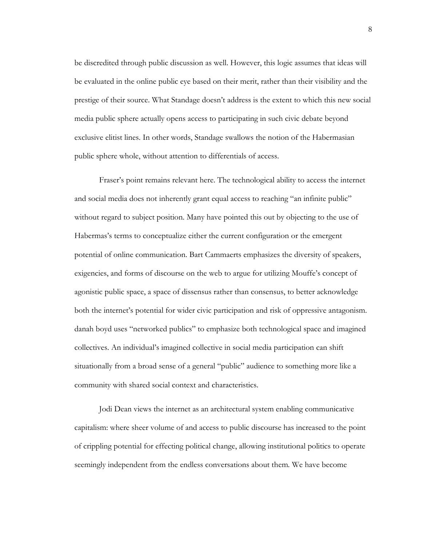be discredited through public discussion as well. However, this logic assumes that ideas will be evaluated in the online public eye based on their merit, rather than their visibility and the prestige of their source. What Standage doesn't address is the extent to which this new social media public sphere actually opens access to participating in such civic debate beyond exclusive elitist lines. In other words, Standage swallows the notion of the Habermasian public sphere whole, without attention to differentials of access.

Fraser's point remains relevant here. The technological ability to access the internet and social media does not inherently grant equal access to reaching "an infinite public" without regard to subject position. Many have pointed this out by objecting to the use of Habermas's terms to conceptualize either the current configuration or the emergent potential of online communication. Bart Cammaerts emphasizes the diversity of speakers, exigencies, and forms of discourse on the web to argue for utilizing Mouffe's concept of agonistic public space, a space of dissensus rather than consensus, to better acknowledge both the internet's potential for wider civic participation and risk of oppressive antagonism. danah boyd uses "networked publics" to emphasize both technological space and imagined collectives. An individual's imagined collective in social media participation can shift situationally from a broad sense of a general "public" audience to something more like a community with shared social context and characteristics.

Jodi Dean views the internet as an architectural system enabling communicative capitalism: where sheer volume of and access to public discourse has increased to the point of crippling potential for effecting political change, allowing institutional politics to operate seemingly independent from the endless conversations about them*.* We have become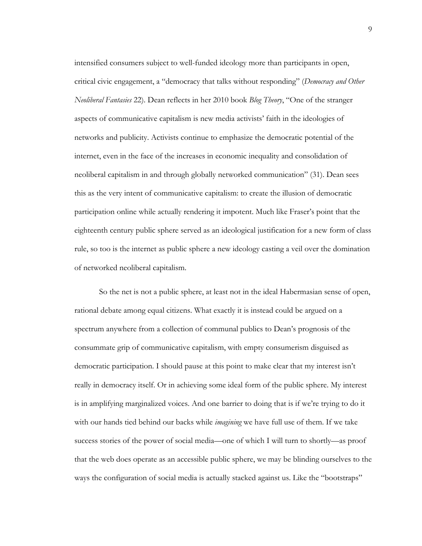intensified consumers subject to well-funded ideology more than participants in open, critical civic engagement, a "democracy that talks without responding" (*Democracy and Other Neoliberal Fantasies* 22). Dean reflects in her 2010 book *Blog Theory*, "One of the stranger aspects of communicative capitalism is new media activists' faith in the ideologies of networks and publicity. Activists continue to emphasize the democratic potential of the internet, even in the face of the increases in economic inequality and consolidation of neoliberal capitalism in and through globally networked communication" (31). Dean sees this as the very intent of communicative capitalism: to create the illusion of democratic participation online while actually rendering it impotent. Much like Fraser's point that the eighteenth century public sphere served as an ideological justification for a new form of class rule, so too is the internet as public sphere a new ideology casting a veil over the domination of networked neoliberal capitalism.

So the net is not a public sphere, at least not in the ideal Habermasian sense of open, rational debate among equal citizens. What exactly it is instead could be argued on a spectrum anywhere from a collection of communal publics to Dean's prognosis of the consummate grip of communicative capitalism, with empty consumerism disguised as democratic participation. I should pause at this point to make clear that my interest isn't really in democracy itself. Or in achieving some ideal form of the public sphere. My interest is in amplifying marginalized voices. And one barrier to doing that is if we're trying to do it with our hands tied behind our backs while *imagining* we have full use of them. If we take success stories of the power of social media—one of which I will turn to shortly—as proof that the web does operate as an accessible public sphere, we may be blinding ourselves to the ways the configuration of social media is actually stacked against us. Like the "bootstraps"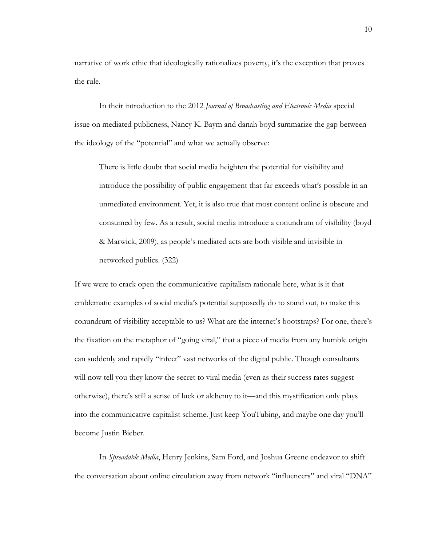narrative of work ethic that ideologically rationalizes poverty, it's the exception that proves the rule.

In their introduction to the 2012 *Journal of Broadcasting and Electronic Media* special issue on mediated publicness, Nancy K. Baym and danah boyd summarize the gap between the ideology of the "potential" and what we actually observe:

There is little doubt that social media heighten the potential for visibility and introduce the possibility of public engagement that far exceeds what's possible in an unmediated environment. Yet, it is also true that most content online is obscure and consumed by few. As a result, social media introduce a conundrum of visibility (boyd & Marwick, 2009), as people's mediated acts are both visible and invisible in networked publics. (322)

If we were to crack open the communicative capitalism rationale here, what is it that emblematic examples of social media's potential supposedly do to stand out, to make this conundrum of visibility acceptable to us? What are the internet's bootstraps? For one, there's the fixation on the metaphor of "going viral," that a piece of media from any humble origin can suddenly and rapidly "infect" vast networks of the digital public. Though consultants will now tell you they know the secret to viral media (even as their success rates suggest otherwise), there's still a sense of luck or alchemy to it—and this mystification only plays into the communicative capitalist scheme. Just keep YouTubing, and maybe one day you'll become Justin Bieber.

In *Spreadable Media*, Henry Jenkins, Sam Ford, and Joshua Greene endeavor to shift the conversation about online circulation away from network "influencers" and viral "DNA"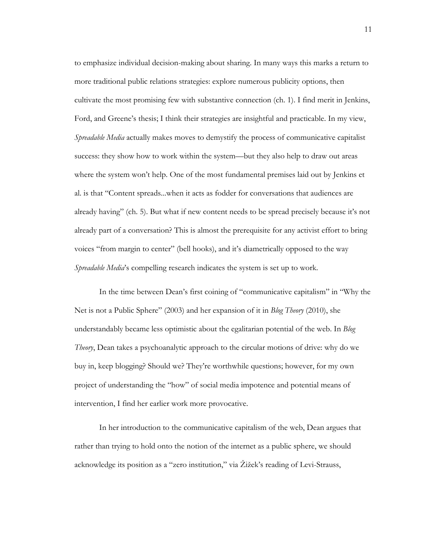to emphasize individual decision-making about sharing. In many ways this marks a return to more traditional public relations strategies: explore numerous publicity options, then cultivate the most promising few with substantive connection (ch. 1). I find merit in Jenkins, Ford, and Greene's thesis; I think their strategies are insightful and practicable. In my view, *Spreadable Media* actually makes moves to demystify the process of communicative capitalist success: they show how to work within the system—but they also help to draw out areas where the system won't help. One of the most fundamental premises laid out by Jenkins et al. is that "Content spreads...when it acts as fodder for conversations that audiences are already having" (ch. 5). But what if new content needs to be spread precisely because it's not already part of a conversation? This is almost the prerequisite for any activist effort to bring voices "from margin to center" (bell hooks), and it's diametrically opposed to the way *Spreadable Media*'s compelling research indicates the system is set up to work.

In the time between Dean's first coining of "communicative capitalism" in "Why the Net is not a Public Sphere" (2003) and her expansion of it in *Blog Theory* (2010), she understandably became less optimistic about the egalitarian potential of the web. In *Blog Theory*, Dean takes a psychoanalytic approach to the circular motions of drive: why do we buy in, keep blogging? Should we? They're worthwhile questions; however, for my own project of understanding the "how" of social media impotence and potential means of intervention, I find her earlier work more provocative.

In her introduction to the communicative capitalism of the web, Dean argues that rather than trying to hold onto the notion of the internet as a public sphere, we should acknowledge its position as a "zero institution," via Žižek's reading of Levi-Strauss,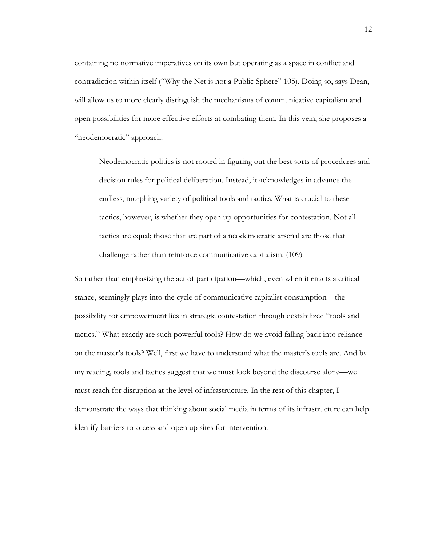containing no normative imperatives on its own but operating as a space in conflict and contradiction within itself ("Why the Net is not a Public Sphere" 105). Doing so, says Dean, will allow us to more clearly distinguish the mechanisms of communicative capitalism and open possibilities for more effective efforts at combating them. In this vein, she proposes a "neodemocratic" approach:

Neodemocratic politics is not rooted in figuring out the best sorts of procedures and decision rules for political deliberation. Instead, it acknowledges in advance the endless, morphing variety of political tools and tactics. What is crucial to these tactics, however, is whether they open up opportunities for contestation. Not all tactics are equal; those that are part of a neodemocratic arsenal are those that challenge rather than reinforce communicative capitalism. (109)

So rather than emphasizing the act of participation—which, even when it enacts a critical stance, seemingly plays into the cycle of communicative capitalist consumption—the possibility for empowerment lies in strategic contestation through destabilized "tools and tactics." What exactly are such powerful tools? How do we avoid falling back into reliance on the master's tools? Well, first we have to understand what the master's tools are. And by my reading, tools and tactics suggest that we must look beyond the discourse alone—we must reach for disruption at the level of infrastructure. In the rest of this chapter, I demonstrate the ways that thinking about social media in terms of its infrastructure can help identify barriers to access and open up sites for intervention.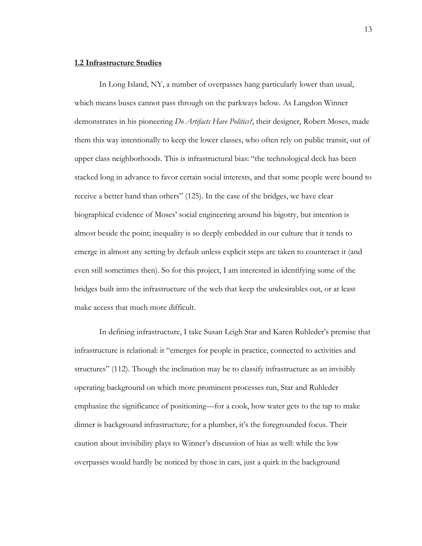#### **1.2 Infrastructure Studies**

In Long Island, NY, a number of overpasses hang particularly lower than usual, which means buses cannot pass through on the parkways below. As Langdon Winner demonstrates in his pioneering *Do Artifacts Have Politics?*, their designer, Robert Moses, made them this way intentionally to keep the lower classes, who often rely on public transit, out of upper class neighborhoods. This is infrastructural bias: "the technological deck has been stacked long in advance to favor certain social interests, and that some people were bound to receive a better hand than others" (125). In the case of the bridges, we have clear biographical evidence of Moses' social engineering around his bigotry, but intention is almost beside the point; inequality is so deeply embedded in our culture that it tends to emerge in almost any setting by default unless explicit steps are taken to counteract it (and even still sometimes then). So for this project, I am interested in identifying some of the bridges built into the infrastructure of the web that keep the undesirables out, or at least make access that much more difficult.

In defining infrastructure, I take Susan Leigh Star and Karen Ruhleder's premise that infrastructure is relational: it "emerges for people in practice, connected to activities and structures" (112). Though the inclination may be to classify infrastructure as an invisibly operating background on which more prominent processes run, Star and Ruhleder emphasize the significance of positioning—for a cook, how water gets to the tap to make dinner is background infrastructure; for a plumber, it's the foregrounded focus. Their caution about invisibility plays to Winner's discussion of bias as well: while the low overpasses would hardly be noticed by those in cars, just a quirk in the background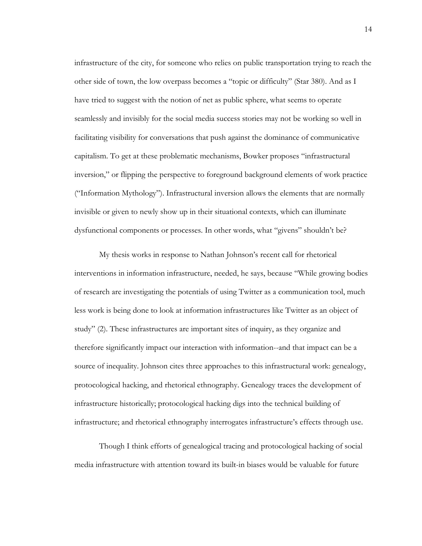infrastructure of the city, for someone who relies on public transportation trying to reach the other side of town, the low overpass becomes a "topic or difficulty" (Star 380). And as I have tried to suggest with the notion of net as public sphere, what seems to operate seamlessly and invisibly for the social media success stories may not be working so well in facilitating visibility for conversations that push against the dominance of communicative capitalism. To get at these problematic mechanisms, Bowker proposes "infrastructural inversion," or flipping the perspective to foreground background elements of work practice ("Information Mythology"). Infrastructural inversion allows the elements that are normally invisible or given to newly show up in their situational contexts, which can illuminate dysfunctional components or processes. In other words, what "givens" shouldn't be?

My thesis works in response to Nathan Johnson's recent call for rhetorical interventions in information infrastructure, needed, he says, because "While growing bodies of research are investigating the potentials of using Twitter as a communication tool, much less work is being done to look at information infrastructures like Twitter as an object of study" (2). These infrastructures are important sites of inquiry, as they organize and therefore significantly impact our interaction with information--and that impact can be a source of inequality. Johnson cites three approaches to this infrastructural work: genealogy, protocological hacking, and rhetorical ethnography. Genealogy traces the development of infrastructure historically; protocological hacking digs into the technical building of infrastructure; and rhetorical ethnography interrogates infrastructure's effects through use.

Though I think efforts of genealogical tracing and protocological hacking of social media infrastructure with attention toward its built-in biases would be valuable for future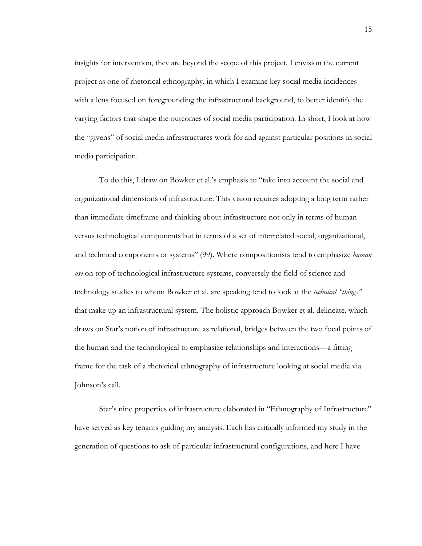insights for intervention, they are beyond the scope of this project. I envision the current project as one of rhetorical ethnography, in which I examine key social media incidences with a lens focused on foregrounding the infrastructural background, to better identify the varying factors that shape the outcomes of social media participation. In short, I look at how the "givens" of social media infrastructures work for and against particular positions in social media participation.

To do this, I draw on Bowker et al.'s emphasis to "take into account the social and organizational dimensions of infrastructure. This vision requires adopting a long term rather than immediate timeframe and thinking about infrastructure not only in terms of human versus technological components but in terms of a set of interrelated social, organizational, and technical components or systems" (99). Where compositionists tend to emphasize *human use* on top of technological infrastructure systems, conversely the field of science and technology studies to whom Bowker et al. are speaking tend to look at the *technical "things"*  that make up an infrastructural system. The holistic approach Bowker et al. delineate, which draws on Star's notion of infrastructure as relational, bridges between the two focal points of the human and the technological to emphasize relationships and interactions—a fitting frame for the task of a rhetorical ethnography of infrastructure looking at social media via Johnson's call.

Star's nine properties of infrastructure elaborated in "Ethnography of Infrastructure" have served as key tenants guiding my analysis. Each has critically informed my study in the generation of questions to ask of particular infrastructural configurations, and here I have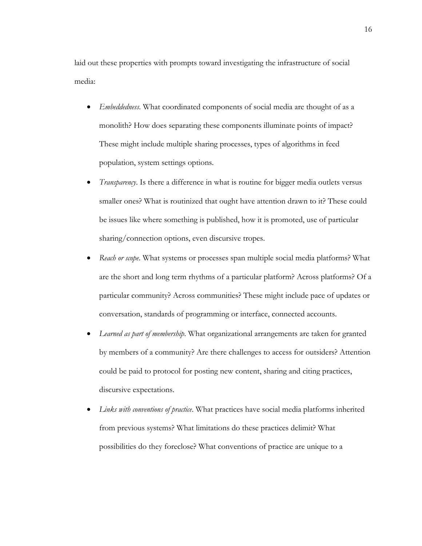laid out these properties with prompts toward investigating the infrastructure of social media:

- *Embeddedness*. What coordinated components of social media are thought of as a monolith? How does separating these components illuminate points of impact? These might include multiple sharing processes, types of algorithms in feed population, system settings options.
- *Transparency*. Is there a difference in what is routine for bigger media outlets versus smaller ones? What is routinized that ought have attention drawn to it? These could be issues like where something is published, how it is promoted, use of particular sharing/connection options, even discursive tropes.
- *Reach or scope*. What systems or processes span multiple social media platforms? What are the short and long term rhythms of a particular platform? Across platforms? Of a particular community? Across communities? These might include pace of updates or conversation, standards of programming or interface, connected accounts.
- *Learned as part of membership*. What organizational arrangements are taken for granted by members of a community? Are there challenges to access for outsiders? Attention could be paid to protocol for posting new content, sharing and citing practices, discursive expectations.
- *Links with conventions of practice*. What practices have social media platforms inherited from previous systems? What limitations do these practices delimit? What possibilities do they foreclose? What conventions of practice are unique to a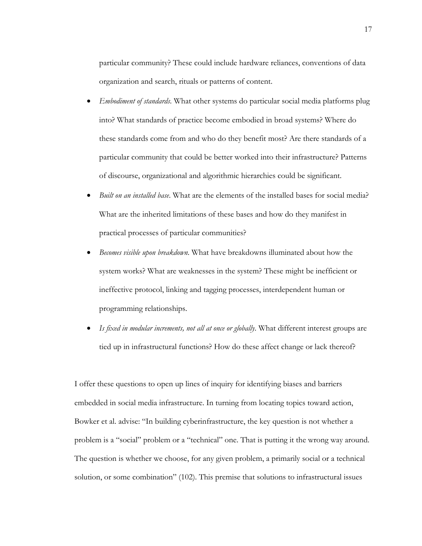particular community? These could include hardware reliances, conventions of data organization and search, rituals or patterns of content.

- *Embodiment of standards*. What other systems do particular social media platforms plug into? What standards of practice become embodied in broad systems? Where do these standards come from and who do they benefit most? Are there standards of a particular community that could be better worked into their infrastructure? Patterns of discourse, organizational and algorithmic hierarchies could be significant.
- *Built on an installed base*. What are the elements of the installed bases for social media? What are the inherited limitations of these bases and how do they manifest in practical processes of particular communities?
- *Becomes visible upon breakdown*. What have breakdowns illuminated about how the system works? What are weaknesses in the system? These might be inefficient or ineffective protocol, linking and tagging processes, interdependent human or programming relationships.
- *Is fixed in modular increments, not all at once or globally*. What different interest groups are tied up in infrastructural functions? How do these affect change or lack thereof?

I offer these questions to open up lines of inquiry for identifying biases and barriers embedded in social media infrastructure. In turning from locating topics toward action, Bowker et al. advise: "In building cyberinfrastructure, the key question is not whether a problem is a "social" problem or a "technical" one. That is putting it the wrong way around. The question is whether we choose, for any given problem, a primarily social or a technical solution, or some combination" (102). This premise that solutions to infrastructural issues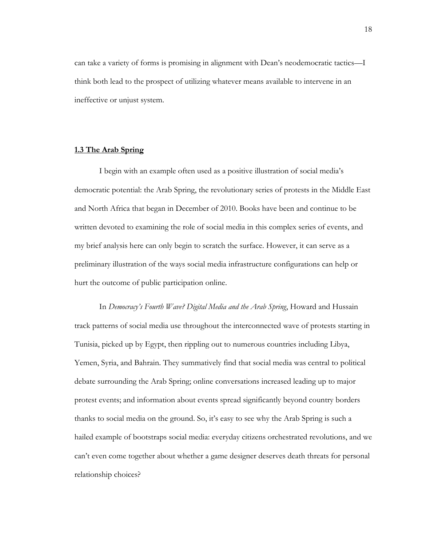can take a variety of forms is promising in alignment with Dean's neodemocratic tactics—I think both lead to the prospect of utilizing whatever means available to intervene in an ineffective or unjust system.

#### **1.3 The Arab Spring**

I begin with an example often used as a positive illustration of social media's democratic potential: the Arab Spring, the revolutionary series of protests in the Middle East and North Africa that began in December of 2010. Books have been and continue to be written devoted to examining the role of social media in this complex series of events, and my brief analysis here can only begin to scratch the surface. However, it can serve as a preliminary illustration of the ways social media infrastructure configurations can help or hurt the outcome of public participation online.

In *Democracy's Fourth Wave? Digital Media and the Arab Spring*, Howard and Hussain track patterns of social media use throughout the interconnected wave of protests starting in Tunisia, picked up by Egypt, then rippling out to numerous countries including Libya, Yemen, Syria, and Bahrain. They summatively find that social media was central to political debate surrounding the Arab Spring; online conversations increased leading up to major protest events; and information about events spread significantly beyond country borders thanks to social media on the ground. So, it's easy to see why the Arab Spring is such a hailed example of bootstraps social media: everyday citizens orchestrated revolutions, and we can't even come together about whether a game designer deserves death threats for personal relationship choices?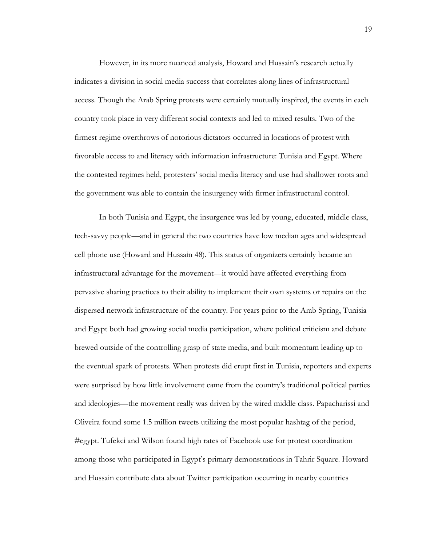However, in its more nuanced analysis, Howard and Hussain's research actually indicates a division in social media success that correlates along lines of infrastructural access. Though the Arab Spring protests were certainly mutually inspired, the events in each country took place in very different social contexts and led to mixed results. Two of the firmest regime overthrows of notorious dictators occurred in locations of protest with favorable access to and literacy with information infrastructure: Tunisia and Egypt. Where the contested regimes held, protesters' social media literacy and use had shallower roots and the government was able to contain the insurgency with firmer infrastructural control.

In both Tunisia and Egypt, the insurgence was led by young, educated, middle class, tech-savvy people—and in general the two countries have low median ages and widespread cell phone use (Howard and Hussain 48). This status of organizers certainly became an infrastructural advantage for the movement—it would have affected everything from pervasive sharing practices to their ability to implement their own systems or repairs on the dispersed network infrastructure of the country. For years prior to the Arab Spring, Tunisia and Egypt both had growing social media participation, where political criticism and debate brewed outside of the controlling grasp of state media, and built momentum leading up to the eventual spark of protests. When protests did erupt first in Tunisia, reporters and experts were surprised by how little involvement came from the country's traditional political parties and ideologies—the movement really was driven by the wired middle class. Papacharissi and Oliveira found some 1.5 million tweets utilizing the most popular hashtag of the period, #egypt. Tufekci and Wilson found high rates of Facebook use for protest coordination among those who participated in Egypt's primary demonstrations in Tahrir Square. Howard and Hussain contribute data about Twitter participation occurring in nearby countries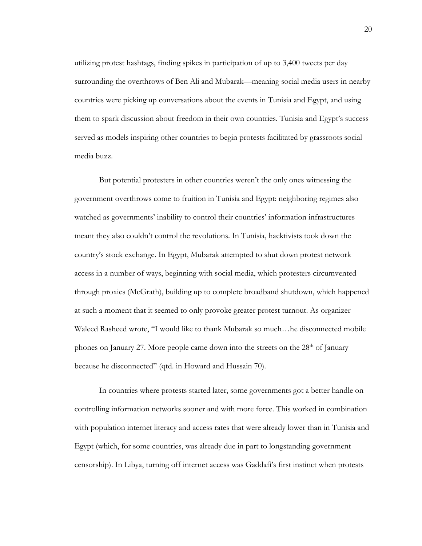utilizing protest hashtags, finding spikes in participation of up to 3,400 tweets per day surrounding the overthrows of Ben Ali and Mubarak—meaning social media users in nearby countries were picking up conversations about the events in Tunisia and Egypt, and using them to spark discussion about freedom in their own countries. Tunisia and Egypt's success served as models inspiring other countries to begin protests facilitated by grassroots social media buzz.

But potential protesters in other countries weren't the only ones witnessing the government overthrows come to fruition in Tunisia and Egypt: neighboring regimes also watched as governments' inability to control their countries' information infrastructures meant they also couldn't control the revolutions. In Tunisia, hacktivists took down the country's stock exchange. In Egypt, Mubarak attempted to shut down protest network access in a number of ways, beginning with social media, which protesters circumvented through proxies (McGrath), building up to complete broadband shutdown, which happened at such a moment that it seemed to only provoke greater protest turnout. As organizer Waleed Rasheed wrote, "I would like to thank Mubarak so much…he disconnected mobile phones on January 27. More people came down into the streets on the  $28<sup>th</sup>$  of January because he disconnected" (qtd. in Howard and Hussain 70).

In countries where protests started later, some governments got a better handle on controlling information networks sooner and with more force. This worked in combination with population internet literacy and access rates that were already lower than in Tunisia and Egypt (which, for some countries, was already due in part to longstanding government censorship). In Libya, turning off internet access was Gaddafi's first instinct when protests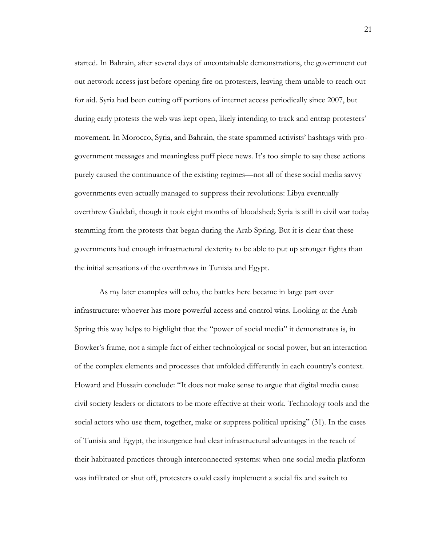started. In Bahrain, after several days of uncontainable demonstrations, the government cut out network access just before opening fire on protesters, leaving them unable to reach out for aid. Syria had been cutting off portions of internet access periodically since 2007, but during early protests the web was kept open, likely intending to track and entrap protesters' movement. In Morocco, Syria, and Bahrain, the state spammed activists' hashtags with progovernment messages and meaningless puff piece news. It's too simple to say these actions purely caused the continuance of the existing regimes—not all of these social media savvy governments even actually managed to suppress their revolutions: Libya eventually overthrew Gaddafi, though it took eight months of bloodshed; Syria is still in civil war today stemming from the protests that began during the Arab Spring. But it is clear that these governments had enough infrastructural dexterity to be able to put up stronger fights than the initial sensations of the overthrows in Tunisia and Egypt.

As my later examples will echo, the battles here became in large part over infrastructure: whoever has more powerful access and control wins. Looking at the Arab Spring this way helps to highlight that the "power of social media" it demonstrates is, in Bowker's frame, not a simple fact of either technological or social power, but an interaction of the complex elements and processes that unfolded differently in each country's context. Howard and Hussain conclude: "It does not make sense to argue that digital media cause civil society leaders or dictators to be more effective at their work. Technology tools and the social actors who use them, together, make or suppress political uprising" (31). In the cases of Tunisia and Egypt, the insurgence had clear infrastructural advantages in the reach of their habituated practices through interconnected systems: when one social media platform was infiltrated or shut off, protesters could easily implement a social fix and switch to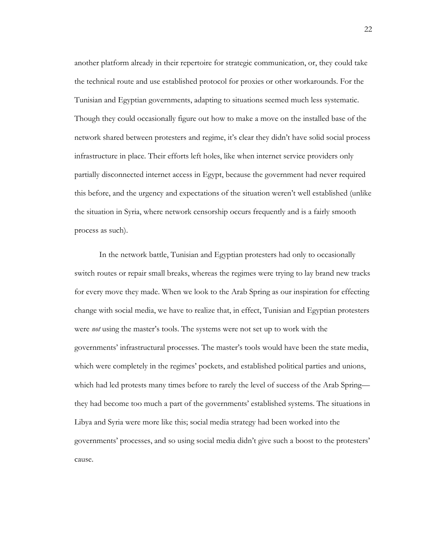another platform already in their repertoire for strategic communication, or, they could take the technical route and use established protocol for proxies or other workarounds. For the Tunisian and Egyptian governments, adapting to situations seemed much less systematic. Though they could occasionally figure out how to make a move on the installed base of the network shared between protesters and regime, it's clear they didn't have solid social process infrastructure in place. Their efforts left holes, like when internet service providers only partially disconnected internet access in Egypt, because the government had never required this before, and the urgency and expectations of the situation weren't well established (unlike the situation in Syria, where network censorship occurs frequently and is a fairly smooth process as such).

In the network battle, Tunisian and Egyptian protesters had only to occasionally switch routes or repair small breaks, whereas the regimes were trying to lay brand new tracks for every move they made. When we look to the Arab Spring as our inspiration for effecting change with social media, we have to realize that, in effect, Tunisian and Egyptian protesters were *not* using the master's tools. The systems were not set up to work with the governments' infrastructural processes. The master's tools would have been the state media, which were completely in the regimes' pockets, and established political parties and unions, which had led protests many times before to rarely the level of success of the Arab Spring they had become too much a part of the governments' established systems. The situations in Libya and Syria were more like this; social media strategy had been worked into the governments' processes, and so using social media didn't give such a boost to the protesters' cause.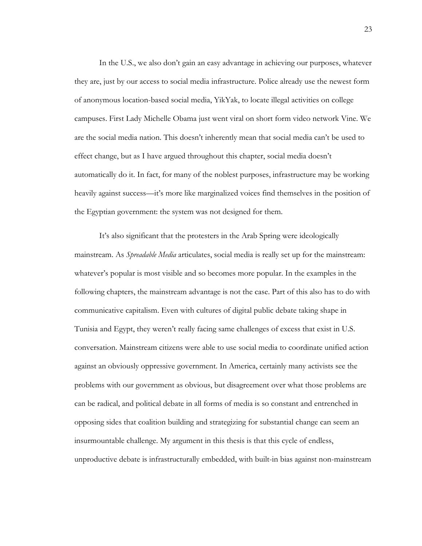In the U.S., we also don't gain an easy advantage in achieving our purposes, whatever they are, just by our access to social media infrastructure. Police already use the newest form of anonymous location-based social media, YikYak, to locate illegal activities on college campuses. First Lady Michelle Obama just went viral on short form video network Vine. We are the social media nation. This doesn't inherently mean that social media can't be used to effect change, but as I have argued throughout this chapter, social media doesn't automatically do it. In fact, for many of the noblest purposes, infrastructure may be working heavily against success—it's more like marginalized voices find themselves in the position of the Egyptian government: the system was not designed for them.

It's also significant that the protesters in the Arab Spring were ideologically mainstream. As *Spreadable Media* articulates, social media is really set up for the mainstream: whatever's popular is most visible and so becomes more popular. In the examples in the following chapters, the mainstream advantage is not the case. Part of this also has to do with communicative capitalism. Even with cultures of digital public debate taking shape in Tunisia and Egypt, they weren't really facing same challenges of excess that exist in U.S. conversation. Mainstream citizens were able to use social media to coordinate unified action against an obviously oppressive government. In America, certainly many activists see the problems with our government as obvious, but disagreement over what those problems are can be radical, and political debate in all forms of media is so constant and entrenched in opposing sides that coalition building and strategizing for substantial change can seem an insurmountable challenge. My argument in this thesis is that this cycle of endless, unproductive debate is infrastructurally embedded, with built-in bias against non-mainstream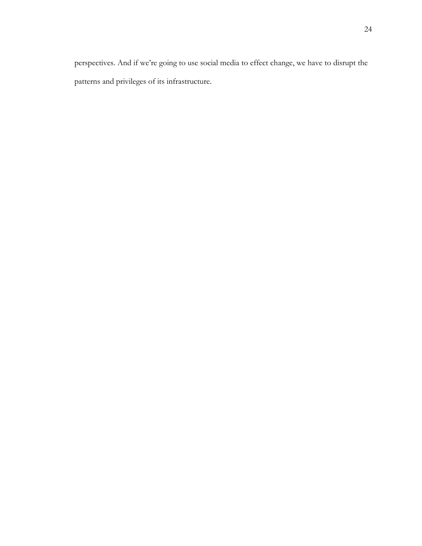perspectives. And if we're going to use social media to effect change, we have to disrupt the patterns and privileges of its infrastructure.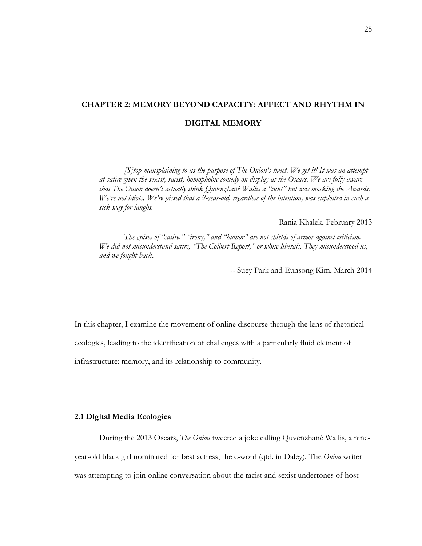## **CHAPTER 2: MEMORY BEYOND CAPACITY: AFFECT AND RHYTHM IN DIGITAL MEMORY**

*[S]top mansplaining to us the purpose of The Onion's tweet. We get it! It was an attempt at satire given the sexist, racist, homophobic comedy on display at the Oscars. We are fully aware that The Onion doesn't actually think Quvenzhané Wallis a "cunt" but was mocking the Awards. We're not idiots. We're pissed that a 9-year-old, regardless of the intention, was exploited in such a sick way for laughs.*

-- Rania Khalek, February 2013

*The guises of "satire," "irony," and "humor" are not shields of armor against criticism. We did not misunderstand satire, "The Colbert Report," or white liberals. They misunderstood us, and we fought back.*

-- Suey Park and Eunsong Kim, March 2014

In this chapter, I examine the movement of online discourse through the lens of rhetorical ecologies, leading to the identification of challenges with a particularly fluid element of infrastructure: memory, and its relationship to community.

#### **2.1 Digital Media Ecologies**

During the 2013 Oscars, *The Onion* tweeted a joke calling Quvenzhané Wallis, a nineyear-old black girl nominated for best actress, the c-word (qtd. in Daley). The *Onion* writer was attempting to join online conversation about the racist and sexist undertones of host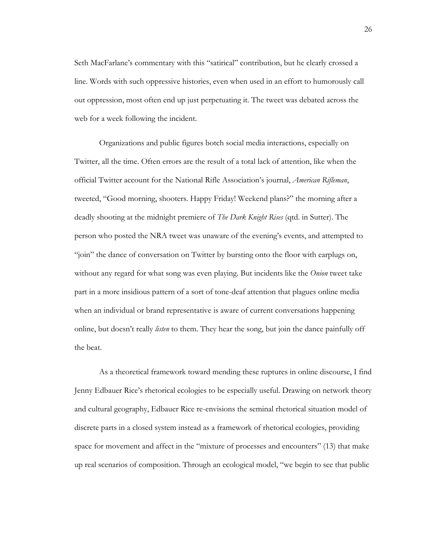Seth MacFarlane's commentary with this "satirical" contribution, but he clearly crossed a line. Words with such oppressive histories, even when used in an effort to humorously call out oppression, most often end up just perpetuating it. The tweet was debated across the web for a week following the incident.

Organizations and public figures botch social media interactions, especially on Twitter, all the time. Often errors are the result of a total lack of attention, like when the official Twitter account for the National Rifle Association's journal, *American Rifleman*, tweeted, "Good morning, shooters. Happy Friday! Weekend plans?" the morning after a deadly shooting at the midnight premiere of *The Dark Knight Rises* (qtd. in Sutter). The person who posted the NRA tweet was unaware of the evening's events, and attempted to "join" the dance of conversation on Twitter by bursting onto the floor with earplugs on, without any regard for what song was even playing. But incidents like the *Onion* tweet take part in a more insidious pattern of a sort of tone-deaf attention that plagues online media when an individual or brand representative is aware of current conversations happening online, but doesn't really *listen* to them. They hear the song, but join the dance painfully off the beat.

As a theoretical framework toward mending these ruptures in online discourse, I find Jenny Edbauer Rice's rhetorical ecologies to be especially useful. Drawing on network theory and cultural geography, Edbauer Rice re-envisions the seminal rhetorical situation model of discrete parts in a closed system instead as a framework of rhetorical ecologies, providing space for movement and affect in the "mixture of processes and encounters" (13) that make up real scenarios of composition. Through an ecological model, "we begin to see that public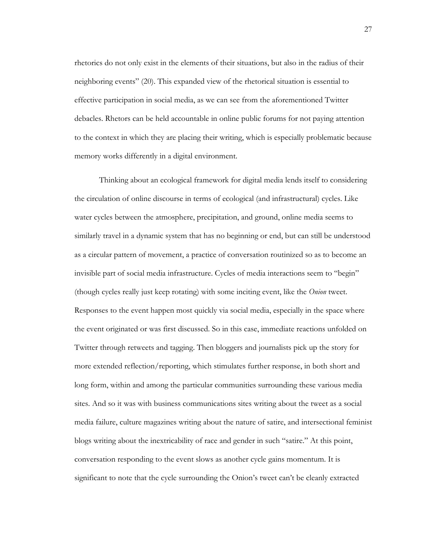rhetorics do not only exist in the elements of their situations, but also in the radius of their neighboring events" (20). This expanded view of the rhetorical situation is essential to effective participation in social media, as we can see from the aforementioned Twitter debacles. Rhetors can be held accountable in online public forums for not paying attention to the context in which they are placing their writing, which is especially problematic because memory works differently in a digital environment.

Thinking about an ecological framework for digital media lends itself to considering the circulation of online discourse in terms of ecological (and infrastructural) cycles. Like water cycles between the atmosphere, precipitation, and ground, online media seems to similarly travel in a dynamic system that has no beginning or end, but can still be understood as a circular pattern of movement, a practice of conversation routinized so as to become an invisible part of social media infrastructure. Cycles of media interactions seem to "begin" (though cycles really just keep rotating) with some inciting event, like the *Onion* tweet. Responses to the event happen most quickly via social media, especially in the space where the event originated or was first discussed. So in this case, immediate reactions unfolded on Twitter through retweets and tagging. Then bloggers and journalists pick up the story for more extended reflection/reporting, which stimulates further response, in both short and long form, within and among the particular communities surrounding these various media sites. And so it was with business communications sites writing about the tweet as a social media failure, culture magazines writing about the nature of satire, and intersectional feminist blogs writing about the inextricability of race and gender in such "satire." At this point, conversation responding to the event slows as another cycle gains momentum. It is significant to note that the cycle surrounding the Onion's tweet can't be cleanly extracted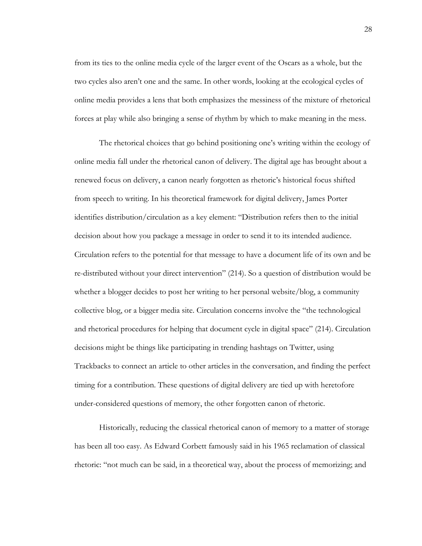from its ties to the online media cycle of the larger event of the Oscars as a whole, but the two cycles also aren't one and the same. In other words, looking at the ecological cycles of online media provides a lens that both emphasizes the messiness of the mixture of rhetorical forces at play while also bringing a sense of rhythm by which to make meaning in the mess.

The rhetorical choices that go behind positioning one's writing within the ecology of online media fall under the rhetorical canon of delivery. The digital age has brought about a renewed focus on delivery, a canon nearly forgotten as rhetoric's historical focus shifted from speech to writing. In his theoretical framework for digital delivery, James Porter identifies distribution/circulation as a key element: "Distribution refers then to the initial decision about how you package a message in order to send it to its intended audience. Circulation refers to the potential for that message to have a document life of its own and be re-distributed without your direct intervention" (214). So a question of distribution would be whether a blogger decides to post her writing to her personal website/blog, a community collective blog, or a bigger media site. Circulation concerns involve the "the technological and rhetorical procedures for helping that document cycle in digital space" (214). Circulation decisions might be things like participating in trending hashtags on Twitter, using Trackbacks to connect an article to other articles in the conversation, and finding the perfect timing for a contribution. These questions of digital delivery are tied up with heretofore under-considered questions of memory, the other forgotten canon of rhetoric.

Historically, reducing the classical rhetorical canon of memory to a matter of storage has been all too easy. As Edward Corbett famously said in his 1965 reclamation of classical rhetoric: "not much can be said, in a theoretical way, about the process of memorizing; and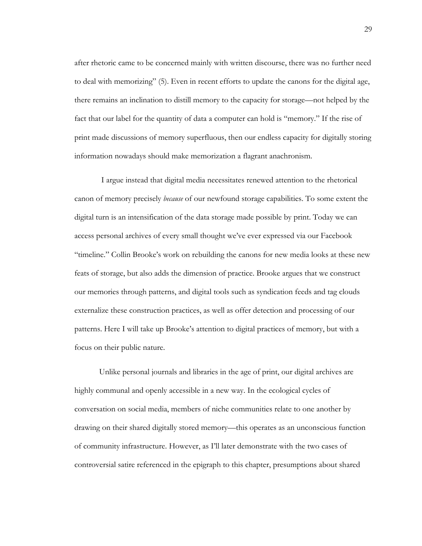after rhetoric came to be concerned mainly with written discourse, there was no further need to deal with memorizing" (5). Even in recent efforts to update the canons for the digital age, there remains an inclination to distill memory to the capacity for storage—not helped by the fact that our label for the quantity of data a computer can hold is "memory." If the rise of print made discussions of memory superfluous, then our endless capacity for digitally storing information nowadays should make memorization a flagrant anachronism.

 I argue instead that digital media necessitates renewed attention to the rhetorical canon of memory precisely *because* of our newfound storage capabilities. To some extent the digital turn is an intensification of the data storage made possible by print. Today we can access personal archives of every small thought we've ever expressed via our Facebook "timeline." Collin Brooke's work on rebuilding the canons for new media looks at these new feats of storage, but also adds the dimension of practice. Brooke argues that we construct our memories through patterns, and digital tools such as syndication feeds and tag clouds externalize these construction practices, as well as offer detection and processing of our patterns. Here I will take up Brooke's attention to digital practices of memory, but with a focus on their public nature.

Unlike personal journals and libraries in the age of print, our digital archives are highly communal and openly accessible in a new way. In the ecological cycles of conversation on social media, members of niche communities relate to one another by drawing on their shared digitally stored memory—this operates as an unconscious function of community infrastructure. However, as I'll later demonstrate with the two cases of controversial satire referenced in the epigraph to this chapter, presumptions about shared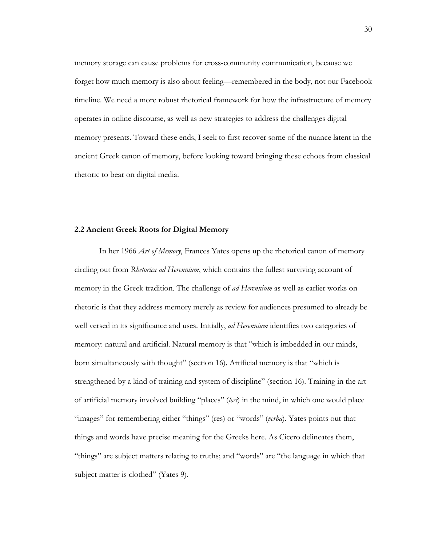memory storage can cause problems for cross-community communication, because we forget how much memory is also about feeling—remembered in the body, not our Facebook timeline. We need a more robust rhetorical framework for how the infrastructure of memory operates in online discourse, as well as new strategies to address the challenges digital memory presents. Toward these ends, I seek to first recover some of the nuance latent in the ancient Greek canon of memory, before looking toward bringing these echoes from classical rhetoric to bear on digital media.

#### **2.2 Ancient Greek Roots for Digital Memory**

In her 1966 *Art of Memory*, Frances Yates opens up the rhetorical canon of memory circling out from *Rhetorica ad Herennium*, which contains the fullest surviving account of memory in the Greek tradition. The challenge of *ad Herennium* as well as earlier works on rhetoric is that they address memory merely as review for audiences presumed to already be well versed in its significance and uses. Initially, *ad Herennium* identifies two categories of memory: natural and artificial. Natural memory is that "which is imbedded in our minds, born simultaneously with thought" (section 16). Artificial memory is that "which is strengthened by a kind of training and system of discipline" (section 16). Training in the art of artificial memory involved building "places" (*loci*) in the mind, in which one would place "images" for remembering either "things" (res) or "words" (*verba*). Yates points out that things and words have precise meaning for the Greeks here. As Cicero delineates them, "things" are subject matters relating to truths; and "words" are "the language in which that subject matter is clothed" (Yates 9).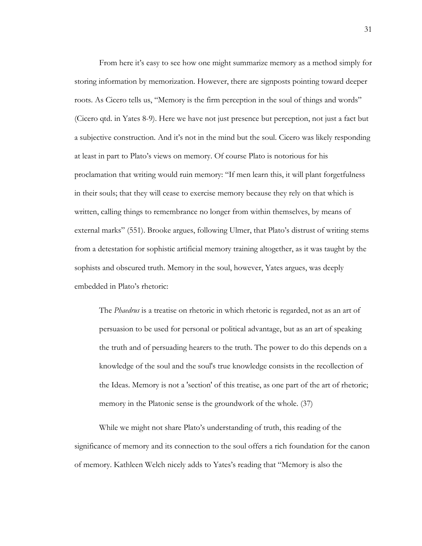From here it's easy to see how one might summarize memory as a method simply for storing information by memorization. However, there are signposts pointing toward deeper roots. As Cicero tells us, "Memory is the firm perception in the soul of things and words" (Cicero qtd. in Yates 8-9). Here we have not just presence but perception, not just a fact but a subjective construction. And it's not in the mind but the soul. Cicero was likely responding at least in part to Plato's views on memory. Of course Plato is notorious for his proclamation that writing would ruin memory: "If men learn this, it will plant forgetfulness in their souls; that they will cease to exercise memory because they rely on that which is written, calling things to remembrance no longer from within themselves, by means of external marks" (551). Brooke argues, following Ulmer, that Plato's distrust of writing stems from a detestation for sophistic artificial memory training altogether, as it was taught by the sophists and obscured truth. Memory in the soul, however, Yates argues, was deeply embedded in Plato's rhetoric:

The *Phaedrus* is a treatise on rhetoric in which rhetoric is regarded, not as an art of persuasion to be used for personal or political advantage, but as an art of speaking the truth and of persuading hearers to the truth. The power to do this depends on a knowledge of the soul and the soul's true knowledge consists in the recollection of the Ideas. Memory is not a 'section' of this treatise, as one part of the art of rhetoric; memory in the Platonic sense is the groundwork of the whole. (37)

While we might not share Plato's understanding of truth, this reading of the significance of memory and its connection to the soul offers a rich foundation for the canon of memory. Kathleen Welch nicely adds to Yates's reading that "Memory is also the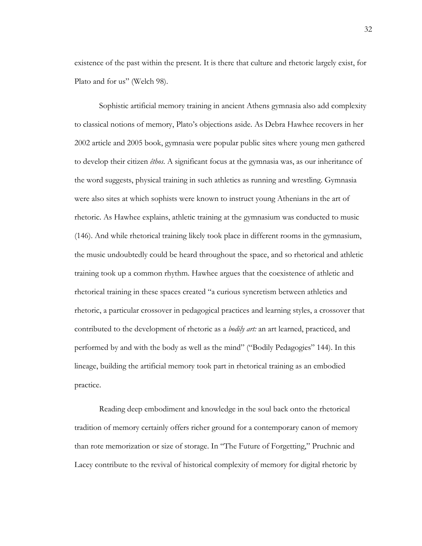existence of the past within the present. It is there that culture and rhetoric largely exist, for Plato and for us" (Welch 98).

Sophistic artificial memory training in ancient Athens gymnasia also add complexity to classical notions of memory, Plato's objections aside. As Debra Hawhee recovers in her 2002 article and 2005 book, gymnasia were popular public sites where young men gathered to develop their citizen *êthos*. A significant focus at the gymnasia was, as our inheritance of the word suggests, physical training in such athletics as running and wrestling. Gymnasia were also sites at which sophists were known to instruct young Athenians in the art of rhetoric. As Hawhee explains, athletic training at the gymnasium was conducted to music (146). And while rhetorical training likely took place in different rooms in the gymnasium, the music undoubtedly could be heard throughout the space, and so rhetorical and athletic training took up a common rhythm. Hawhee argues that the coexistence of athletic and rhetorical training in these spaces created "a curious syncretism between athletics and rhetoric, a particular crossover in pedagogical practices and learning styles, a crossover that contributed to the development of rhetoric as a *bodily art:* an art learned, practiced, and performed by and with the body as well as the mind" ("Bodily Pedagogies" 144). In this lineage, building the artificial memory took part in rhetorical training as an embodied practice.

Reading deep embodiment and knowledge in the soul back onto the rhetorical tradition of memory certainly offers richer ground for a contemporary canon of memory than rote memorization or size of storage. In "The Future of Forgetting," Pruchnic and Lacey contribute to the revival of historical complexity of memory for digital rhetoric by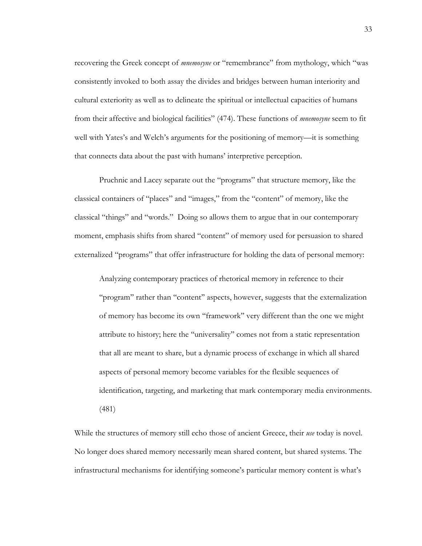recovering the Greek concept of *mnemosyne* or "remembrance" from mythology, which "was consistently invoked to both assay the divides and bridges between human interiority and cultural exteriority as well as to delineate the spiritual or intellectual capacities of humans from their affective and biological facilities" (474). These functions of *mnemosyne* seem to fit well with Yates's and Welch's arguments for the positioning of memory—it is something that connects data about the past with humans' interpretive perception.

Pruchnic and Lacey separate out the "programs" that structure memory, like the classical containers of "places" and "images," from the "content" of memory, like the classical "things" and "words." Doing so allows them to argue that in our contemporary moment, emphasis shifts from shared "content" of memory used for persuasion to shared externalized "programs" that offer infrastructure for holding the data of personal memory:

Analyzing contemporary practices of rhetorical memory in reference to their ''program'' rather than ''content'' aspects, however, suggests that the externalization of memory has become its own ''framework'' very different than the one we might attribute to history; here the ''universality'' comes not from a static representation that all are meant to share, but a dynamic process of exchange in which all shared aspects of personal memory become variables for the flexible sequences of identification, targeting, and marketing that mark contemporary media environments. (481)

While the structures of memory still echo those of ancient Greece, their *use* today is novel. No longer does shared memory necessarily mean shared content, but shared systems. The infrastructural mechanisms for identifying someone's particular memory content is what's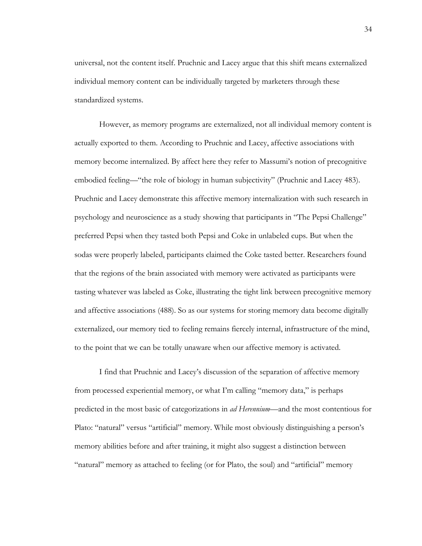universal, not the content itself. Pruchnic and Lacey argue that this shift means externalized individual memory content can be individually targeted by marketers through these standardized systems.

However, as memory programs are externalized, not all individual memory content is actually exported to them. According to Pruchnic and Lacey, affective associations with memory become internalized. By affect here they refer to Massumi's notion of precognitive embodied feeling—"the role of biology in human subjectivity" (Pruchnic and Lacey 483). Pruchnic and Lacey demonstrate this affective memory internalization with such research in psychology and neuroscience as a study showing that participants in "The Pepsi Challenge" preferred Pepsi when they tasted both Pepsi and Coke in unlabeled cups. But when the sodas were properly labeled, participants claimed the Coke tasted better. Researchers found that the regions of the brain associated with memory were activated as participants were tasting whatever was labeled as Coke, illustrating the tight link between precognitive memory and affective associations (488). So as our systems for storing memory data become digitally externalized, our memory tied to feeling remains fiercely internal, infrastructure of the mind, to the point that we can be totally unaware when our affective memory is activated.

I find that Pruchnic and Lacey's discussion of the separation of affective memory from processed experiential memory, or what I'm calling "memory data," is perhaps predicted in the most basic of categorizations in *ad Herennium*—and the most contentious for Plato: "natural" versus "artificial" memory. While most obviously distinguishing a person's memory abilities before and after training, it might also suggest a distinction between "natural" memory as attached to feeling (or for Plato, the soul) and "artificial" memory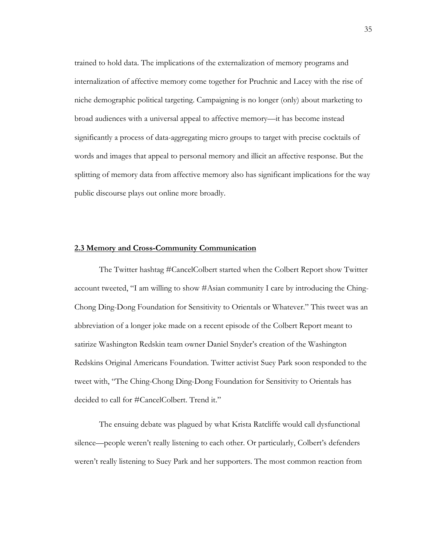trained to hold data. The implications of the externalization of memory programs and internalization of affective memory come together for Pruchnic and Lacey with the rise of niche demographic political targeting. Campaigning is no longer (only) about marketing to broad audiences with a universal appeal to affective memory—it has become instead significantly a process of data-aggregating micro groups to target with precise cocktails of words and images that appeal to personal memory and illicit an affective response. But the splitting of memory data from affective memory also has significant implications for the way public discourse plays out online more broadly.

#### **2.3 Memory and Cross-Community Communication**

The Twitter hashtag #CancelColbert started when the Colbert Report show Twitter account tweeted, "I am willing to show #Asian community I care by introducing the Ching-Chong Ding-Dong Foundation for Sensitivity to Orientals or Whatever." This tweet was an abbreviation of a longer joke made on a recent episode of the Colbert Report meant to satirize Washington Redskin team owner Daniel Snyder's creation of the Washington Redskins Original Americans Foundation. Twitter activist Suey Park soon responded to the tweet with, "The Ching-Chong Ding-Dong Foundation for Sensitivity to Orientals has decided to call for #CancelColbert. Trend it."

The ensuing debate was plagued by what Krista Ratcliffe would call dysfunctional silence—people weren't really listening to each other. Or particularly, Colbert's defenders weren't really listening to Suey Park and her supporters. The most common reaction from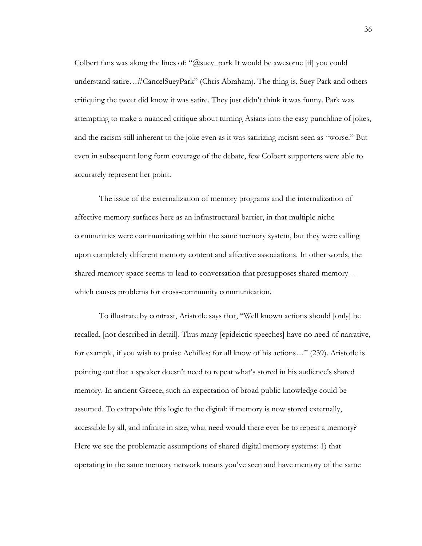Colbert fans was along the lines of: " $@suey$  park It would be awesome [if] you could understand satire…#CancelSueyPark" (Chris Abraham). The thing is, Suey Park and others critiquing the tweet did know it was satire. They just didn't think it was funny. Park was attempting to make a nuanced critique about turning Asians into the easy punchline of jokes, and the racism still inherent to the joke even as it was satirizing racism seen as "worse." But even in subsequent long form coverage of the debate, few Colbert supporters were able to accurately represent her point.

The issue of the externalization of memory programs and the internalization of affective memory surfaces here as an infrastructural barrier, in that multiple niche communities were communicating within the same memory system, but they were calling upon completely different memory content and affective associations. In other words, the shared memory space seems to lead to conversation that presupposes shared memory-- which causes problems for cross-community communication.

To illustrate by contrast, Aristotle says that, "Well known actions should [only] be recalled, [not described in detail]. Thus many [epideictic speeches] have no need of narrative, for example, if you wish to praise Achilles; for all know of his actions…" (239). Aristotle is pointing out that a speaker doesn't need to repeat what's stored in his audience's shared memory. In ancient Greece, such an expectation of broad public knowledge could be assumed. To extrapolate this logic to the digital: if memory is now stored externally, accessible by all, and infinite in size, what need would there ever be to repeat a memory? Here we see the problematic assumptions of shared digital memory systems: 1) that operating in the same memory network means you've seen and have memory of the same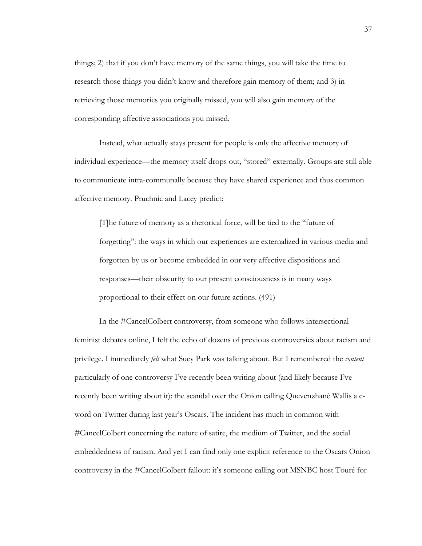things; 2) that if you don't have memory of the same things, you will take the time to research those things you didn't know and therefore gain memory of them; and 3) in retrieving those memories you originally missed, you will also gain memory of the corresponding affective associations you missed.

Instead, what actually stays present for people is only the affective memory of individual experience—the memory itself drops out, "stored" externally. Groups are still able to communicate intra-communally because they have shared experience and thus common affective memory. Pruchnic and Lacey predict:

[T]he future of memory as a rhetorical force, will be tied to the ''future of forgetting'': the ways in which our experiences are externalized in various media and forgotten by us or become embedded in our very affective dispositions and responses—their obscurity to our present consciousness is in many ways proportional to their effect on our future actions. (491)

In the #CancelColbert controversy, from someone who follows intersectional feminist debates online, I felt the echo of dozens of previous controversies about racism and privilege. I immediately *felt* what Suey Park was talking about. But I remembered the *content* particularly of one controversy I've recently been writing about (and likely because I've recently been writing about it): the scandal over the Onion calling Quevenzhané Wallis a cword on Twitter during last year's Oscars. The incident has much in common with #CancelColbert concerning the nature of satire, the medium of Twitter, and the social embeddedness of racism. And yet I can find only one explicit reference to the Oscars Onion controversy in the #CancelColbert fallout: it's someone calling out MSNBC host Touré for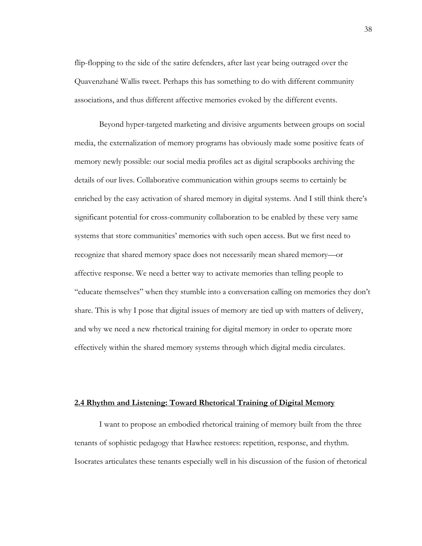flip-flopping to the side of the satire defenders, after last year being outraged over the Quavenzhané Wallis tweet. Perhaps this has something to do with different community associations, and thus different affective memories evoked by the different events.

Beyond hyper-targeted marketing and divisive arguments between groups on social media, the externalization of memory programs has obviously made some positive feats of memory newly possible: our social media profiles act as digital scrapbooks archiving the details of our lives. Collaborative communication within groups seems to certainly be enriched by the easy activation of shared memory in digital systems. And I still think there's significant potential for cross-community collaboration to be enabled by these very same systems that store communities' memories with such open access. But we first need to recognize that shared memory space does not necessarily mean shared memory—or affective response. We need a better way to activate memories than telling people to "educate themselves" when they stumble into a conversation calling on memories they don't share. This is why I pose that digital issues of memory are tied up with matters of delivery, and why we need a new rhetorical training for digital memory in order to operate more effectively within the shared memory systems through which digital media circulates.

#### **2.4 Rhythm and Listening: Toward Rhetorical Training of Digital Memory**

I want to propose an embodied rhetorical training of memory built from the three tenants of sophistic pedagogy that Hawhee restores: repetition, response, and rhythm. Isocrates articulates these tenants especially well in his discussion of the fusion of rhetorical

38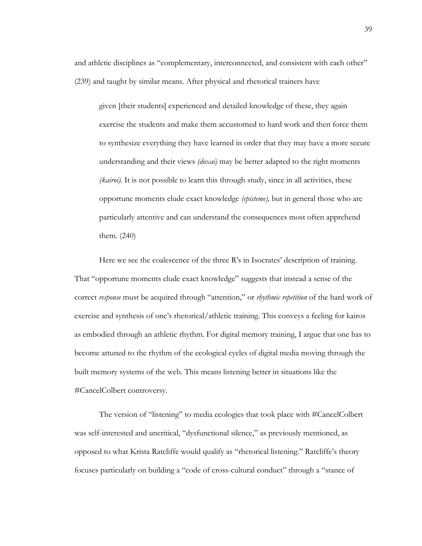and athletic disciplines as "complementary, interconnected, and consistent with each other" (239) and taught by similar means. After physical and rhetorical trainers have

given [their students] experienced and detailed knowledge of these, they again exercise the students and make them accustomed to hard work and then force them to synthesize everything they have learned in order that they may have a more secure understanding and their views *(doxai)* may be better adapted to the right moments *(kairoi).* It is not possible to learn this through study, since in all activities, these opportune moments elude exact knowledge *(episteme),* but in general those who are particularly attentive and can understand the consequences most often apprehend them. (240)

Here we see the coalescence of the three R's in Isocrates' description of training. That "opportune moments elude exact knowledge" suggests that instead a sense of the correct *response* must be acquired through "attention," or *rhythmic repetition* of the hard work of exercise and synthesis of one's rhetorical/athletic training. This conveys a feeling for kairos as embodied through an athletic rhythm. For digital memory training, I argue that one has to become attuned to the rhythm of the ecological cycles of digital media moving through the built memory systems of the web. This means listening better in situations like the #CancelColbert controversy.

The version of "listening" to media ecologies that took place with #CancelColbert was self-interested and uncritical, "dysfunctional silence," as previously mentioned, as opposed to what Krista Ratcliffe would qualify as "rhetorical listening." Ratcliffe's theory focuses particularly on building a "code of cross-cultural conduct" through a "stance of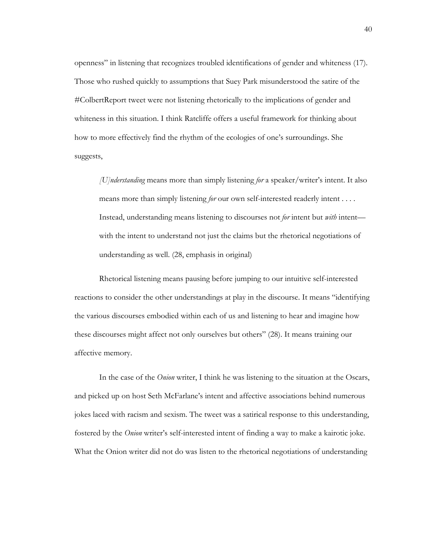openness" in listening that recognizes troubled identifications of gender and whiteness (17). Those who rushed quickly to assumptions that Suey Park misunderstood the satire of the #ColbertReport tweet were not listening rhetorically to the implications of gender and whiteness in this situation. I think Ratcliffe offers a useful framework for thinking about how to more effectively find the rhythm of the ecologies of one's surroundings. She suggests,

*[U]nderstanding* means more than simply listening *for* a speaker/writer's intent. It also means more than simply listening *for* our own self-interested readerly intent . . . . Instead, understanding means listening to discourses not *for* intent but *with* intent with the intent to understand not just the claims but the rhetorical negotiations of understanding as well. (28, emphasis in original)

Rhetorical listening means pausing before jumping to our intuitive self-interested reactions to consider the other understandings at play in the discourse. It means "identifying the various discourses embodied within each of us and listening to hear and imagine how these discourses might affect not only ourselves but others" (28). It means training our affective memory.

In the case of the *Onion* writer, I think he was listening to the situation at the Oscars, and picked up on host Seth McFarlane's intent and affective associations behind numerous jokes laced with racism and sexism. The tweet was a satirical response to this understanding, fostered by the *Onion* writer's self-interested intent of finding a way to make a kairotic joke. What the Onion writer did not do was listen to the rhetorical negotiations of understanding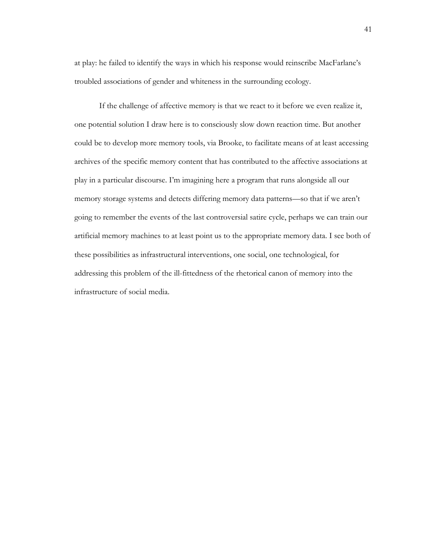at play: he failed to identify the ways in which his response would reinscribe MacFarlane's troubled associations of gender and whiteness in the surrounding ecology.

If the challenge of affective memory is that we react to it before we even realize it, one potential solution I draw here is to consciously slow down reaction time. But another could be to develop more memory tools, via Brooke, to facilitate means of at least accessing archives of the specific memory content that has contributed to the affective associations at play in a particular discourse. I'm imagining here a program that runs alongside all our memory storage systems and detects differing memory data patterns—so that if we aren't going to remember the events of the last controversial satire cycle, perhaps we can train our artificial memory machines to at least point us to the appropriate memory data. I see both of these possibilities as infrastructural interventions, one social, one technological, for addressing this problem of the ill-fittedness of the rhetorical canon of memory into the infrastructure of social media.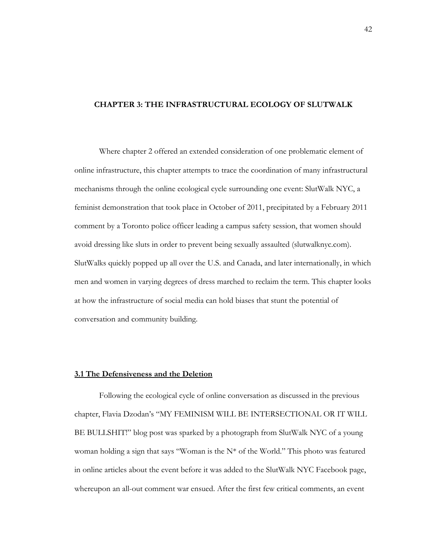#### **CHAPTER 3: THE INFRASTRUCTURAL ECOLOGY OF SLUTWALK**

Where chapter 2 offered an extended consideration of one problematic element of online infrastructure, this chapter attempts to trace the coordination of many infrastructural mechanisms through the online ecological cycle surrounding one event: SlutWalk NYC, a feminist demonstration that took place in October of 2011, precipitated by a February 2011 comment by a Toronto police officer leading a campus safety session, that women should avoid dressing like sluts in order to prevent being sexually assaulted (slutwalknyc.com). SlutWalks quickly popped up all over the U.S. and Canada, and later internationally, in which men and women in varying degrees of dress marched to reclaim the term. This chapter looks at how the infrastructure of social media can hold biases that stunt the potential of conversation and community building.

#### **3.1 The Defensiveness and the Deletion**

Following the ecological cycle of online conversation as discussed in the previous chapter, Flavia Dzodan's "MY FEMINISM WILL BE INTERSECTIONAL OR IT WILL BE BULLSHIT!" blog post was sparked by a photograph from SlutWalk NYC of a young woman holding a sign that says "Woman is the N\* of the World." This photo was featured in online articles about the event before it was added to the SlutWalk NYC Facebook page, whereupon an all-out comment war ensued. After the first few critical comments, an event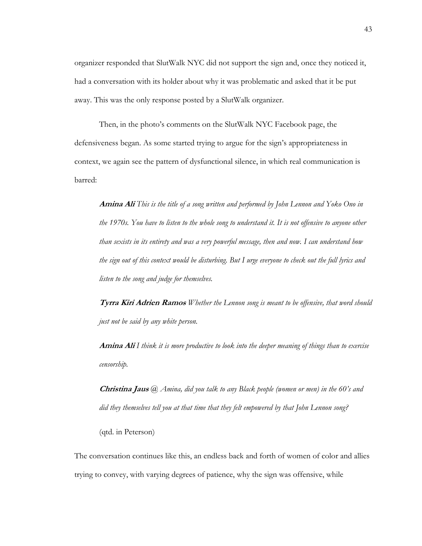organizer responded that SlutWalk NYC did not support the sign and, once they noticed it, had a conversation with its holder about why it was problematic and asked that it be put away. This was the only response posted by a SlutWalk organizer.

Then, in the photo's comments on the SlutWalk NYC Facebook page, the defensiveness began. As some started trying to argue for the sign's appropriateness in context, we again see the pattern of dysfunctional silence, in which real communication is barred:

**Amina Ali** *This is the title of a song written and performed by John Lennon and Yoko Ono in the 1970s. You have to listen to the whole song to understand it. It is not offensive to anyone other than sexists in its entirety and was a very powerful message, then and now. I can understand how the sign out of this context would be disturbing. But I urge everyone to check out the full lyrics and listen to the song and judge for themselves.*

**Tyrra Kiri Adrien Ramos** *Whether the Lennon song is meant to be offensive, that word should just not be said by any white person.*

**Amina Ali** *I think it is more productive to look into the deeper meaning of things than to exercise censorship.*

**Christina Jaus** *@ Amina, did you talk to any Black people (women or men) in the 60's and did they themselves tell you at that time that they felt empowered by that John Lennon song?*

(qtd. in Peterson)

The conversation continues like this, an endless back and forth of women of color and allies trying to convey, with varying degrees of patience, why the sign was offensive, while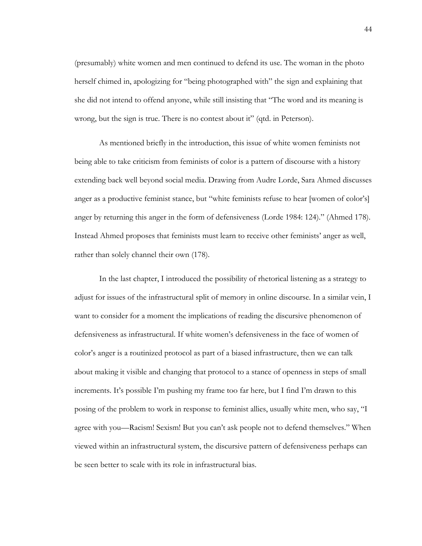(presumably) white women and men continued to defend its use. The woman in the photo herself chimed in, apologizing for "being photographed with" the sign and explaining that she did not intend to offend anyone, while still insisting that "The word and its meaning is wrong, but the sign is true. There is no contest about it" (qtd. in Peterson).

As mentioned briefly in the introduction, this issue of white women feminists not being able to take criticism from feminists of color is a pattern of discourse with a history extending back well beyond social media. Drawing from Audre Lorde, Sara Ahmed discusses anger as a productive feminist stance, but "white feminists refuse to hear [women of color's] anger by returning this anger in the form of defensiveness (Lorde 1984: 124)." (Ahmed 178). Instead Ahmed proposes that feminists must learn to receive other feminists' anger as well, rather than solely channel their own (178).

In the last chapter, I introduced the possibility of rhetorical listening as a strategy to adjust for issues of the infrastructural split of memory in online discourse. In a similar vein, I want to consider for a moment the implications of reading the discursive phenomenon of defensiveness as infrastructural. If white women's defensiveness in the face of women of color's anger is a routinized protocol as part of a biased infrastructure, then we can talk about making it visible and changing that protocol to a stance of openness in steps of small increments. It's possible I'm pushing my frame too far here, but I find I'm drawn to this posing of the problem to work in response to feminist allies, usually white men, who say, "I agree with you—Racism! Sexism! But you can't ask people not to defend themselves." When viewed within an infrastructural system, the discursive pattern of defensiveness perhaps can be seen better to scale with its role in infrastructural bias.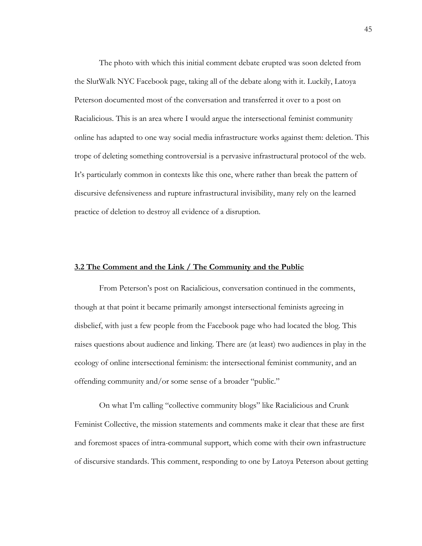The photo with which this initial comment debate erupted was soon deleted from the SlutWalk NYC Facebook page, taking all of the debate along with it. Luckily, Latoya Peterson documented most of the conversation and transferred it over to a post on Racialicious. This is an area where I would argue the intersectional feminist community online has adapted to one way social media infrastructure works against them: deletion. This trope of deleting something controversial is a pervasive infrastructural protocol of the web. It's particularly common in contexts like this one, where rather than break the pattern of discursive defensiveness and rupture infrastructural invisibility, many rely on the learned practice of deletion to destroy all evidence of a disruption.

#### **3.2 The Comment and the Link / The Community and the Public**

From Peterson's post on Racialicious, conversation continued in the comments, though at that point it became primarily amongst intersectional feminists agreeing in disbelief, with just a few people from the Facebook page who had located the blog. This raises questions about audience and linking. There are (at least) two audiences in play in the ecology of online intersectional feminism: the intersectional feminist community, and an offending community and/or some sense of a broader "public."

On what I'm calling "collective community blogs" like Racialicious and Crunk Feminist Collective, the mission statements and comments make it clear that these are first and foremost spaces of intra-communal support, which come with their own infrastructure of discursive standards. This comment, responding to one by Latoya Peterson about getting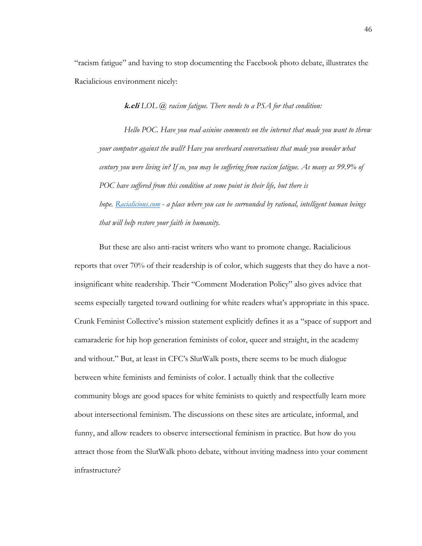"racism fatigue" and having to stop documenting the Facebook photo debate, illustrates the Racialicious environment nicely:

**k.eli** *LOL @ racism fatigue. There needs to a PSA for that condition:*

*Hello POC. Have you read asinine comments on the internet that made you want to throw your computer against the wall? Have you overheard conversations that made you wonder what century you were living in? If so, you may be suffering from racism fatigue. As many as 99.9% of POC have suffered from this condition at some point in their life, but there is hope. Racialicious.com - a place where you can be surrounded by rational, intelligent human beings that will help restore your faith in humanity.* 

But these are also anti-racist writers who want to promote change. Racialicious reports that over 70% of their readership is of color, which suggests that they do have a notinsignificant white readership. Their "Comment Moderation Policy" also gives advice that seems especially targeted toward outlining for white readers what's appropriate in this space. Crunk Feminist Collective's mission statement explicitly defines it as a "space of support and camaraderie for hip hop generation feminists of color, queer and straight, in the academy and without." But, at least in CFC's SlutWalk posts, there seems to be much dialogue between white feminists and feminists of color. I actually think that the collective community blogs are good spaces for white feminists to quietly and respectfully learn more about intersectional feminism. The discussions on these sites are articulate, informal, and funny, and allow readers to observe intersectional feminism in practice. But how do you attract those from the SlutWalk photo debate, without inviting madness into your comment infrastructure?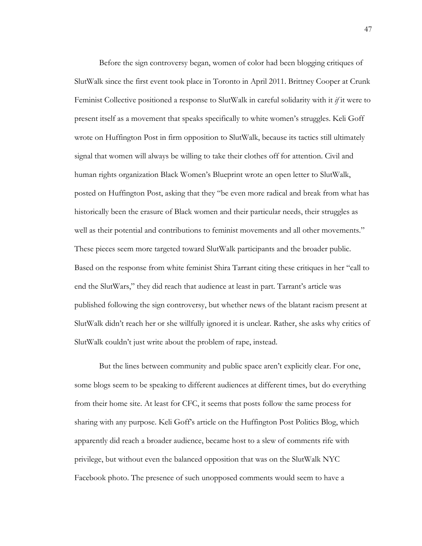Before the sign controversy began, women of color had been blogging critiques of SlutWalk since the first event took place in Toronto in April 2011. Brittney Cooper at Crunk Feminist Collective positioned a response to SlutWalk in careful solidarity with it *if* it were to present itself as a movement that speaks specifically to white women's struggles. Keli Goff wrote on Huffington Post in firm opposition to SlutWalk, because its tactics still ultimately signal that women will always be willing to take their clothes off for attention. Civil and human rights organization Black Women's Blueprint wrote an open letter to SlutWalk, posted on Huffington Post, asking that they "be even more radical and break from what has historically been the erasure of Black women and their particular needs, their struggles as well as their potential and contributions to feminist movements and all other movements." These pieces seem more targeted toward SlutWalk participants and the broader public. Based on the response from white feminist Shira Tarrant citing these critiques in her "call to end the SlutWars," they did reach that audience at least in part. Tarrant's article was published following the sign controversy, but whether news of the blatant racism present at SlutWalk didn't reach her or she willfully ignored it is unclear. Rather, she asks why critics of SlutWalk couldn't just write about the problem of rape, instead.

But the lines between community and public space aren't explicitly clear. For one, some blogs seem to be speaking to different audiences at different times, but do everything from their home site. At least for CFC, it seems that posts follow the same process for sharing with any purpose. Keli Goff's article on the Huffington Post Politics Blog, which apparently did reach a broader audience, became host to a slew of comments rife with privilege, but without even the balanced opposition that was on the SlutWalk NYC Facebook photo. The presence of such unopposed comments would seem to have a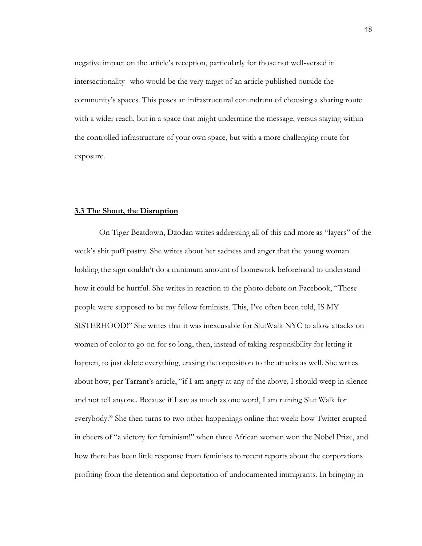negative impact on the article's reception, particularly for those not well-versed in intersectionality--who would be the very target of an article published outside the community's spaces. This poses an infrastructural conundrum of choosing a sharing route with a wider reach, but in a space that might undermine the message, versus staying within the controlled infrastructure of your own space, but with a more challenging route for exposure.

#### **3.3 The Shout, the Disruption**

On Tiger Beatdown, Dzodan writes addressing all of this and more as "layers" of the week's shit puff pastry. She writes about her sadness and anger that the young woman holding the sign couldn't do a minimum amount of homework beforehand to understand how it could be hurtful. She writes in reaction to the photo debate on Facebook, "These people were supposed to be my fellow feminists. This, I've often been told, IS MY SISTERHOOD!" She writes that it was inexcusable for SlutWalk NYC to allow attacks on women of color to go on for so long, then, instead of taking responsibility for letting it happen, to just delete everything, erasing the opposition to the attacks as well. She writes about how, per Tarrant's article, "if I am angry at any of the above, I should weep in silence and not tell anyone. Because if I say as much as one word, I am ruining Slut Walk for everybody." She then turns to two other happenings online that week: how Twitter erupted in cheers of "a victory for feminism!" when three African women won the Nobel Prize, and how there has been little response from feminists to recent reports about the corporations profiting from the detention and deportation of undocumented immigrants. In bringing in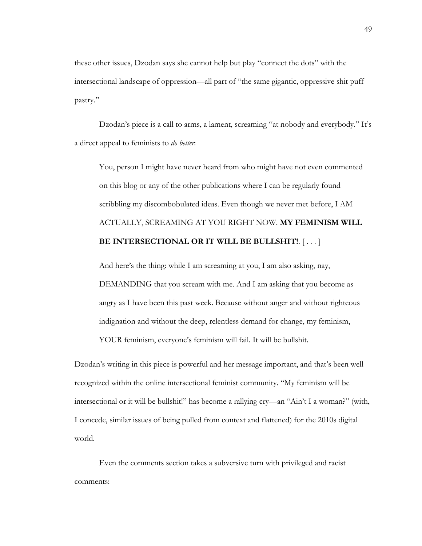these other issues, Dzodan says she cannot help but play "connect the dots" with the intersectional landscape of oppression—all part of "the same gigantic, oppressive shit puff pastry."

Dzodan's piece is a call to arms, a lament, screaming "at nobody and everybody." It's a direct appeal to feminists to *do better*:

You, person I might have never heard from who might have not even commented on this blog or any of the other publications where I can be regularly found scribbling my discombobulated ideas. Even though we never met before, I AM ACTUALLY, SCREAMING AT YOU RIGHT NOW. **MY FEMINISM WILL BE INTERSECTIONAL OR IT WILL BE BULLSHIT!**. [ . . . ]

And here's the thing: while I am screaming at you, I am also asking, nay, DEMANDING that you scream with me. And I am asking that you become as angry as I have been this past week. Because without anger and without righteous indignation and without the deep, relentless demand for change, my feminism, YOUR feminism, everyone's feminism will fail. It will be bullshit.

Dzodan's writing in this piece is powerful and her message important, and that's been well recognized within the online intersectional feminist community. "My feminism will be intersectional or it will be bullshit!" has become a rallying cry—an "Ain't I a woman?" (with, I concede, similar issues of being pulled from context and flattened) for the 2010s digital world.

Even the comments section takes a subversive turn with privileged and racist comments: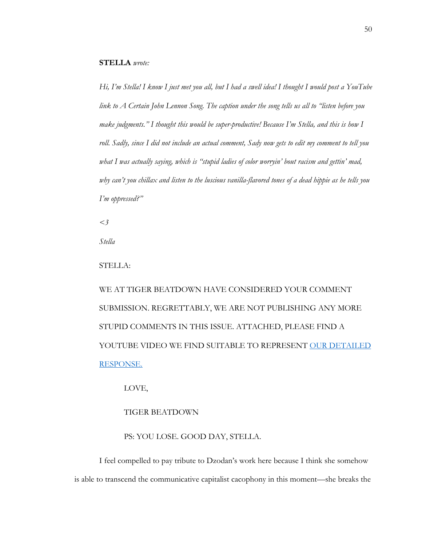*Hi, I'm Stella! I know I just met you all, but I had a swell idea! I thought I would post a YouTube link to A Certain John Lennon Song. The caption under the song tells us all to "listen before you make judgments." I thought this would be super-productive! Because I'm Stella, and this is how I roll. Sadly, since I did not include an actual comment, Sady now gets to edit my comment to tell you what I was actually saying, which is "stupid ladies of color worryin' bout racism and gettin' mad, why can't you chillax and listen to the luscious vanilla-flavored tones of a dead hippie as he tells you I'm oppressed?"*

*<3* 

*Stella*

#### STELLA:

WE AT TIGER BEATDOWN HAVE CONSIDERED YOUR COMMENT SUBMISSION. REGRETTABLY, WE ARE NOT PUBLISHING ANY MORE STUPID COMMENTS IN THIS ISSUE. ATTACHED, PLEASE FIND A YOUTUBE VIDEO WE FIND SUITABLE TO REPRESENT OUR DETAILED RESPONSE.

#### LOVE,

#### TIGER BEATDOWN

#### PS: YOU LOSE. GOOD DAY, STELLA.

I feel compelled to pay tribute to Dzodan's work here because I think she somehow is able to transcend the communicative capitalist cacophony in this moment—she breaks the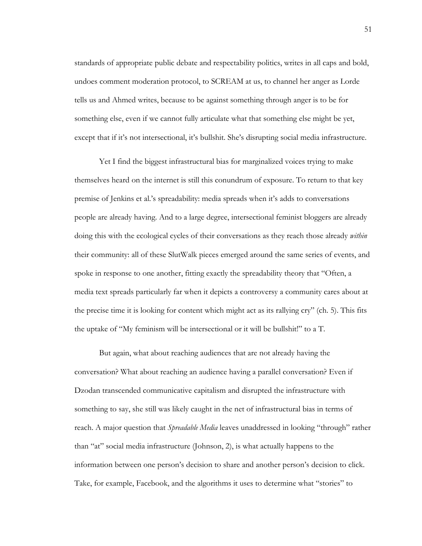standards of appropriate public debate and respectability politics, writes in all caps and bold, undoes comment moderation protocol, to SCREAM at us, to channel her anger as Lorde tells us and Ahmed writes, because to be against something through anger is to be for something else, even if we cannot fully articulate what that something else might be yet, except that if it's not intersectional, it's bullshit. She's disrupting social media infrastructure.

Yet I find the biggest infrastructural bias for marginalized voices trying to make themselves heard on the internet is still this conundrum of exposure. To return to that key premise of Jenkins et al.'s spreadability: media spreads when it's adds to conversations people are already having. And to a large degree, intersectional feminist bloggers are already doing this with the ecological cycles of their conversations as they reach those already *within* their community: all of these SlutWalk pieces emerged around the same series of events, and spoke in response to one another, fitting exactly the spreadability theory that "Often, a media text spreads particularly far when it depicts a controversy a community cares about at the precise time it is looking for content which might act as its rallying cry" (ch. 5). This fits the uptake of "My feminism will be intersectional or it will be bullshit!" to a T.

But again, what about reaching audiences that are not already having the conversation? What about reaching an audience having a parallel conversation? Even if Dzodan transcended communicative capitalism and disrupted the infrastructure with something to say, she still was likely caught in the net of infrastructural bias in terms of reach. A major question that *Spreadable Media* leaves unaddressed in looking "through" rather than "at" social media infrastructure (Johnson, 2), is what actually happens to the information between one person's decision to share and another person's decision to click. Take, for example, Facebook, and the algorithms it uses to determine what "stories" to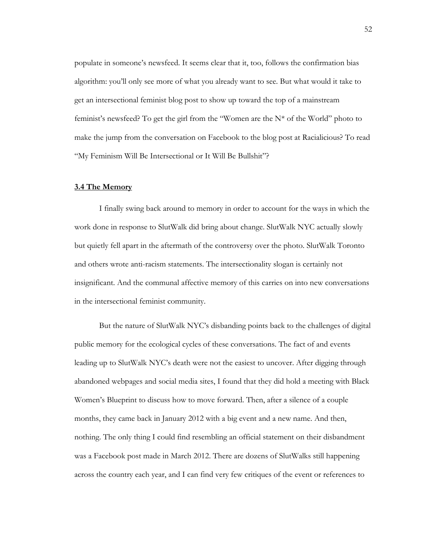populate in someone's newsfeed. It seems clear that it, too, follows the confirmation bias algorithm: you'll only see more of what you already want to see. But what would it take to get an intersectional feminist blog post to show up toward the top of a mainstream feminist's newsfeed? To get the girl from the "Women are the  $N^*$  of the World" photo to make the jump from the conversation on Facebook to the blog post at Racialicious? To read "My Feminism Will Be Intersectional or It Will Be Bullshit"?

#### **3.4 The Memory**

I finally swing back around to memory in order to account for the ways in which the work done in response to SlutWalk did bring about change. SlutWalk NYC actually slowly but quietly fell apart in the aftermath of the controversy over the photo. SlutWalk Toronto and others wrote anti-racism statements. The intersectionality slogan is certainly not insignificant. And the communal affective memory of this carries on into new conversations in the intersectional feminist community.

But the nature of SlutWalk NYC's disbanding points back to the challenges of digital public memory for the ecological cycles of these conversations. The fact of and events leading up to SlutWalk NYC's death were not the easiest to uncover. After digging through abandoned webpages and social media sites, I found that they did hold a meeting with Black Women's Blueprint to discuss how to move forward. Then, after a silence of a couple months, they came back in January 2012 with a big event and a new name. And then, nothing. The only thing I could find resembling an official statement on their disbandment was a Facebook post made in March 2012. There are dozens of SlutWalks still happening across the country each year, and I can find very few critiques of the event or references to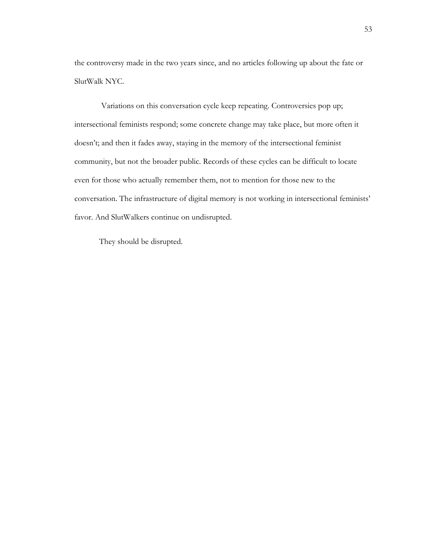the controversy made in the two years since, and no articles following up about the fate or SlutWalk NYC.

Variations on this conversation cycle keep repeating. Controversies pop up; intersectional feminists respond; some concrete change may take place, but more often it doesn't; and then it fades away, staying in the memory of the intersectional feminist community, but not the broader public. Records of these cycles can be difficult to locate even for those who actually remember them, not to mention for those new to the conversation. The infrastructure of digital memory is not working in intersectional feminists' favor. And SlutWalkers continue on undisrupted.

They should be disrupted.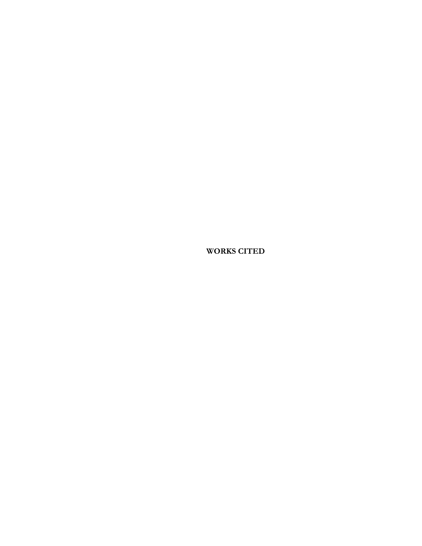**WORKS CITED**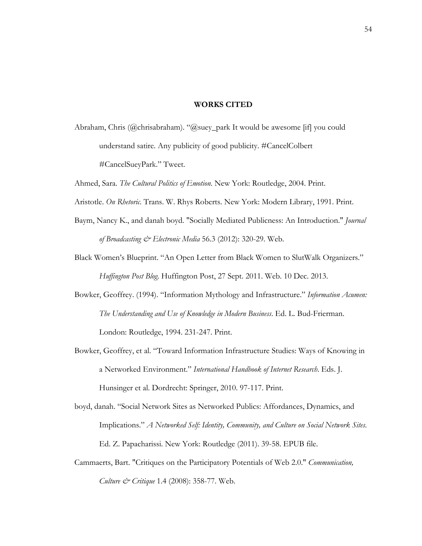#### **WORKS CITED**

Abraham, Chris (@chrisabraham). "@suey\_park It would be awesome [if] you could understand satire. Any publicity of good publicity. #CancelColbert #CancelSueyPark." Tweet.

Ahmed, Sara. *The Cultural Politics of Emotion*. New York: Routledge, 2004. Print.

- Aristotle. *On Rhetoric*. Trans. W. Rhys Roberts. New York: Modern Library, 1991. Print.
- Baym, Nancy K., and danah boyd. "Socially Mediated Publicness: An Introduction." *Journal of Broadcasting & Electronic Media* 56.3 (2012): 320-29. Web.
- Black Women's Blueprint. "An Open Letter from Black Women to SlutWalk Organizers." *Huffington Post Blog*. Huffington Post, 27 Sept. 2011. Web. 10 Dec. 2013.
- Bowker, Geoffrey. (1994). "Information Mythology and Infrastructure." *Information Acumen: The Understanding and Use of Knowledge in Modern Business*. Ed. L. Bud-Frierman. London: Routledge, 1994. 231-247. Print.
- Bowker, Geoffrey, et al. "Toward Information Infrastructure Studies: Ways of Knowing in a Networked Environment." *International Handbook of Internet Research*. Eds. J. Hunsinger et al. Dordrecht: Springer, 2010. 97-117. Print.
- boyd, danah. "Social Network Sites as Networked Publics: Affordances, Dynamics, and Implications." *A Networked Self: Identity, Community, and Culture on Social Network Sites*. Ed. Z. Papacharissi. New York: Routledge (2011). 39-58. EPUB file.
- Cammaerts, Bart. "Critiques on the Participatory Potentials of Web 2.0." *Communication, Culture & Critique* 1.4 (2008): 358-77. Web.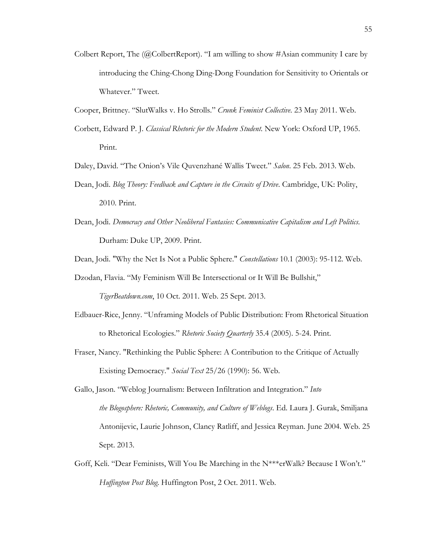- Colbert Report, The  $(QColbertReport)$ . "I am willing to show #Asian community I care by introducing the Ching-Chong Ding-Dong Foundation for Sensitivity to Orientals or Whatever." Tweet.
- Cooper, Brittney. "SlutWalks v. Ho Strolls." *Crunk Feminist Collective*. 23 May 2011. Web.
- Corbett, Edward P. J. *Classical Rhetoric for the Modern Student*. New York: Oxford UP, 1965. Print.
- Daley, David. "The Onion's Vile Quvenzhané Wallis Tweet." *Salon*. 25 Feb. 2013. Web.
- Dean, Jodi. *Blog Theory: Feedback and Capture in the Circuits of Drive*. Cambridge, UK: Polity, 2010. Print.
- Dean, Jodi. *Democracy and Other Neoliberal Fantasies: Communicative Capitalism and Left Politics*. Durham: Duke UP, 2009. Print.

Dean, Jodi. "Why the Net Is Not a Public Sphere." *Constellations* 10.1 (2003): 95-112. Web.

Dzodan, Flavia. "My Feminism Will Be Intersectional or It Will Be Bullshit,"

*TigerBeatdown.com*, 10 Oct. 2011. Web. 25 Sept. 2013.

- Edbauer-Rice, Jenny. "Unframing Models of Public Distribution: From Rhetorical Situation to Rhetorical Ecologies." *Rhetoric Society Quarterly* 35.4 (2005). 5-24. Print.
- Fraser, Nancy. "Rethinking the Public Sphere: A Contribution to the Critique of Actually Existing Democracy." *Social Text* 25/26 (1990): 56. Web.
- Gallo, Jason. "Weblog Journalism: Between Infiltration and Integration." *Into the Blogosphere: Rhetoric, Community, and Culture of Weblogs*. Ed. Laura J. Gurak, Smiljana Antonijevic, Laurie Johnson, Clancy Ratliff, and Jessica Reyman. June 2004. Web. 25 Sept. 2013.
- Goff, Keli. "Dear Feminists, Will You Be Marching in the N\*\*\*erWalk? Because I Won't." *Huffington Post Blog*. Huffington Post, 2 Oct. 2011. Web.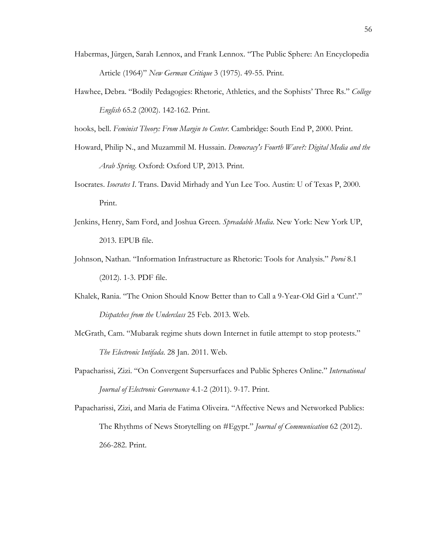- Habermas, Jürgen, Sarah Lennox, and Frank Lennox. "The Public Sphere: An Encyclopedia Article (1964)" *New German Critique* 3 (1975). 49-55. Print.
- Hawhee, Debra. "Bodily Pedagogies: Rhetoric, Athletics, and the Sophists' Three Rs." *College English* 65.2 (2002). 142-162. Print.

hooks, bell. *Feminist Theory: From Margin to Center*. Cambridge: South End P, 2000. Print.

- Howard, Philip N., and Muzammil M. Hussain. *Democracy's Fourth Wave?: Digital Media and the Arab Spring*. Oxford: Oxford UP, 2013. Print.
- Isocrates. *Isocrates I*. Trans. David Mirhady and Yun Lee Too. Austin: U of Texas P, 2000. Print.
- Jenkins, Henry, Sam Ford, and Joshua Green. *Spreadable Media*. New York: New York UP, 2013. EPUB file.
- Johnson, Nathan. "Information Infrastructure as Rhetoric: Tools for Analysis." *Poroi* 8.1 (2012). 1-3. PDF file.
- Khalek, Rania. "The Onion Should Know Better than to Call a 9-Year-Old Girl a 'Cunt'." *Dispatches from the Underclass* 25 Feb. 2013. Web.
- McGrath, Cam. "Mubarak regime shuts down Internet in futile attempt to stop protests." *The Electronic Intifada*. 28 Jan. 2011. Web.
- Papacharissi, Zizi. "On Convergent Supersurfaces and Public Spheres Online." *International Journal of Electronic Governance* 4.1-2 (2011). 9-17. Print.
- Papacharissi, Zizi, and Maria de Fatima Oliveira. "Affective News and Networked Publics: The Rhythms of News Storytelling on #Egypt." *Journal of Communication* 62 (2012). 266-282. Print.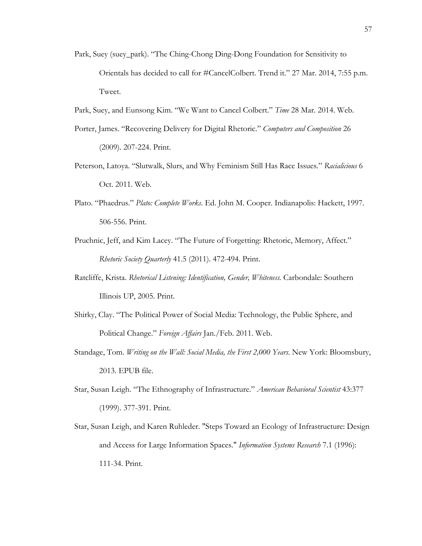Park, Suey (suey\_park). "The Ching-Chong Ding-Dong Foundation for Sensitivity to Orientals has decided to call for #CancelColbert. Trend it." 27 Mar. 2014, 7:55 p.m. Tweet.

Park, Suey, and Eunsong Kim. "We Want to Cancel Colbert." *Time* 28 Mar. 2014. Web.

- Porter, James. "Recovering Delivery for Digital Rhetoric." *Computers and Composition* 26 (2009). 207-224. Print.
- Peterson, Latoya. "Slutwalk, Slurs, and Why Feminism Still Has Race Issues." *Racialicious* 6 Oct. 2011. Web.
- Plato. "Phaedrus." *Plato: Complete Works*. Ed. John M. Cooper. Indianapolis: Hackett, 1997. 506-556. Print.
- Pruchnic, Jeff, and Kim Lacey. "The Future of Forgetting: Rhetoric, Memory, Affect." *Rhetoric Society Quarterly* 41.5 (2011). 472-494. Print.
- Ratcliffe, Krista. *Rhetorical Listening: Identification, Gender, Whiteness.* Carbondale: Southern Illinois UP, 2005. Print.
- Shirky, Clay. "The Political Power of Social Media: Technology, the Public Sphere, and Political Change." *Foreign Affairs* Jan./Feb. 2011. Web.
- Standage, Tom. *Writing on the Wall: Social Media, the First 2,000 Years*. New York: Bloomsbury, 2013. EPUB file.
- Star, Susan Leigh. "The Ethnography of Infrastructure." *American Behavioral Scientist* 43:377 (1999). 377-391. Print.
- Star, Susan Leigh, and Karen Ruhleder. "Steps Toward an Ecology of Infrastructure: Design and Access for Large Information Spaces." *Information Systems Research* 7.1 (1996): 111-34. Print.